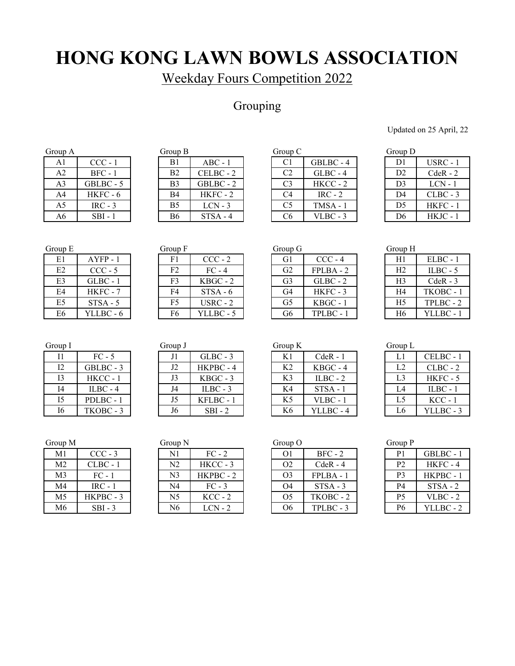Weekday Fours Competition 2022

## Grouping

Updated on 25 April, 22

| <b>Oroup A</b> |            |
|----------------|------------|
| A1             | CCC - 1    |
| A2             | $BFC - 1$  |
| A3             | GBLBC - 5  |
| A <sub>4</sub> | $HKFC - 6$ |
| A5             | $IRC - 3$  |
| Α6             | SBI - 1    |

| Group A        |           | Group B        |            | Group C        |            | Group D        |            |
|----------------|-----------|----------------|------------|----------------|------------|----------------|------------|
| A1             | $CCC - 1$ | B1             | $ABC - 1$  | C <sub>1</sub> | GBLBC - 4  | D1             | $USRC - 1$ |
| A <sub>2</sub> | $BFC - 1$ | B <sub>2</sub> | CELBC - 2  | C <sub>2</sub> | $GLBC - 4$ | D <sub>2</sub> | $CdeR - 2$ |
| A3             | GBLBC - 5 | B <sub>3</sub> | GBLBC - 2  | C <sub>3</sub> | $HKCC - 2$ | D <sub>3</sub> | $LCN - 1$  |
| A4             | HKFC - 6  | B4             | $HKFC - 2$ | C4             | $IRC - 2$  | D4             | $CLBC - 3$ |
| A5             | $IRC - 3$ | B <sub>5</sub> | $LCN - 3$  | C <sub>5</sub> | $TMSA - 1$ | D <sub>5</sub> | $HKFC-1$   |
| A6             | $SBI - 1$ | B6             | $STSA - 4$ | C6             | $VLBC - 3$ | D <sub>6</sub> | $HKJC - 1$ |

| oup A |            | Group $B$      |            | Group C        |            | Group D        |            |
|-------|------------|----------------|------------|----------------|------------|----------------|------------|
| A1    | $CCC - 1$  | B1             | $ABC - 1$  | C1             | GBLBC - 4  | D1             | $USRC - 1$ |
| A2    | $BFC - 1$  | B <sub>2</sub> | CELBC - 2  | C <sub>2</sub> | $GLBC - 4$ | D2             | $CdeR - 2$ |
| A3    | GBLBC - 5  | B <sub>3</sub> | GBLBC - 2  | C <sub>3</sub> | $HKCC - 2$ | D <sub>3</sub> | $LCN - 1$  |
| A4    | $HKFC - 6$ | <b>B4</b>      | $HKFC - 2$ | C <sub>4</sub> | $IRC - 2$  | D4             | $CLBC - 3$ |
| A5    | $IRC - 3$  | B <sub>5</sub> | $LCN - 3$  | C <sub>5</sub> | $TMSA - 1$ | D <sub>5</sub> | $HKFC - 1$ |
| А6    | $SBI - 1$  | <b>B6</b>      | STSA - 4   | C <sub>6</sub> | $VLBC - 3$ | D6             | $HKJC - 1$ |

| Group D        |            |
|----------------|------------|
| D1             | USRC - 1   |
| D <sub>2</sub> | $CdeR - 2$ |
| D <sub>3</sub> | $LCN - 1$  |
| D <sub>4</sub> | CLBC - 3   |
| D <sub>5</sub> | HKFC - 1   |
| D <sub>6</sub> | $HKJC - 1$ |

| E1             | $AYFP - 1$ |
|----------------|------------|
| E <sub>2</sub> | $CCC - 5$  |
| E3             | GLBC - 1   |
| E4             | $HKFC - 7$ |
| E <sub>5</sub> | $STSA - 5$ |
| E6             | YLLBC - 6  |

| Group F        |            |
|----------------|------------|
| F1             | $CCC - 2$  |
| F <sub>2</sub> | $FC - 4$   |
| F <sub>3</sub> | $KBGC - 2$ |
| F4             | $STSA - 6$ |
| F <sub>5</sub> | $USRC - 2$ |
| F6             | YLLBC - 5  |
|                |            |

| Group E        |            | Group F        |            | Group G        |             | Group H        |            |
|----------------|------------|----------------|------------|----------------|-------------|----------------|------------|
| E1             | AYFP - 1   | F1             | $CCC - 2$  | G1             | $CCC - 4$   | H1             | $ELBC - 1$ |
| E2             | $CCC - 5$  | F <sub>2</sub> | $FC - 4$   | G <sub>2</sub> | $FPLBA - 2$ | H <sub>2</sub> | $ILBC - 5$ |
| E <sub>3</sub> | $GLBC - 1$ | F <sub>3</sub> | $KBGC - 2$ | G3             | $GLBC - 2$  | H <sub>3</sub> | $CdeR - 3$ |
| E4             | HKFC - 7   | F4             | $STSA - 6$ | G4             | HKFC - 3    | H <sub>4</sub> | TKOBC - 1  |
| E <sub>5</sub> | $STSA - 5$ | F5             | $USRC - 2$ | G5             | $KBGC - 1$  | H <sub>5</sub> | TPLBC - 2  |
| E <sub>6</sub> | YLLBC - 6  | F6             | YLLBC - 5  | G6             | TPLBC - 1   | H <sub>6</sub> | YLLBC - 1  |

| Group H        |            |  |  |  |  |
|----------------|------------|--|--|--|--|
| H1             | $ELBC - 1$ |  |  |  |  |
| H <sub>2</sub> | $ILBC - 5$ |  |  |  |  |
| H <sub>3</sub> | $CdeR - 3$ |  |  |  |  |
| H4             | TKOBC - 1  |  |  |  |  |
| H5             | TPLBC - 2  |  |  |  |  |
| H6             | YLLBC - 1  |  |  |  |  |

| Group 1 |            |
|---------|------------|
| T1      | $FC-5$     |
| 12      | GBLBC - 3  |
| 13      | HKCC - 1   |
| Ī4      | $ILBC - 4$ |
| 15      | PDLBC - 1  |
| I٢      | TKORC      |

| Group I        |            | Group J |            | Group $K$      |            | Group L        |            |
|----------------|------------|---------|------------|----------------|------------|----------------|------------|
| 11             | $FC - 5$   |         | $GLBC - 3$ | K1             | $CdeR - 1$ | Ll             | CELBC - 1  |
| 12             | GBLBC - 3  | J2      | HKPBC - 4  | K <sub>2</sub> | $KBGC - 4$ | L2             | $CLBC - 2$ |
| 13             | $HKCC - 1$ |         | $KBGC - 3$ | K <sub>3</sub> | $ILBC - 2$ | L <sub>3</sub> | $HKFC - 5$ |
| I4             | $ILBC - 4$ | J4      | $ILBC - 3$ | K4             | $STSA - 1$ | L4             | $ILBC - 1$ |
| I <sub>5</sub> | PDLBC-1    | J5      | KFLBC - 1  | K <sub>5</sub> | $VLBC - 1$ | L5             | $KCC - 1$  |
| I6             | TKOBC - 3  | J6      | $SBI - 2$  | K6             | YLLBC - 4  | L6             | YLLBC - 3  |

| Group K        |            |
|----------------|------------|
| K1             | $CdeR - 1$ |
| K <sub>2</sub> | KBGC - 4   |
| K3             | $ILBC - 2$ |
| K4             | $STSA - 1$ |
| K <sub>5</sub> | $VLBC - 1$ |
| Κ6             | YLLBC-4    |

| Group L        |            |
|----------------|------------|
| L1             | CELBC - 1  |
| L <sub>2</sub> | CLBC - 2   |
| L3             | $HKFC - 5$ |
| L <sub>4</sub> | $ILBC - 1$ |
| L5             | $KCC - 1$  |
| L6             | YLLBC - 3  |

| Group M        |            | Group N |            | Group O |             | Group P        |
|----------------|------------|---------|------------|---------|-------------|----------------|
| M1             | $CCC - 3$  | N1      | $FC - 2$   | O1      | $BFC - 2$   | P <sub>1</sub> |
| M <sub>2</sub> | $CLBC - 1$ | N2      | $HKCC - 3$ | O2      | $CdeR - 4$  | P <sub>2</sub> |
| M <sub>3</sub> | $FC - 1$   | N3      | HKPBC - 2  | O3      | $FPLBA - 1$ | P <sub>3</sub> |
| M4             | $IRC - 1$  | N4      | $FC - 3$   | O4      | $STSA - 3$  | P <sub>4</sub> |
| M <sub>5</sub> | HKPBC - 3  | N5      | $KCC - 2$  | O5      | TKOBC - 2   | P <sub>5</sub> |
| M6             | $SBI - 3$  | N6      | LCN - 2    | Ο6      | TPLBC - 3   | P <sub>6</sub> |

| M1 | $CCC - 3$  | N1             | $FC - 2$   | O <sub>1</sub> | $BFC - 2$   | P1             | GBLBC - 1  |
|----|------------|----------------|------------|----------------|-------------|----------------|------------|
| M2 | $CLBC - 1$ | N2             | $HKCC - 3$ | O <sub>2</sub> | $CdeR - 4$  | P2             | $HKFC - 4$ |
| M3 | $FC - 1$   | N <sub>3</sub> | HKPBC - 2  | O <sub>3</sub> | $FPLBA - 2$ | P3             | HKPBC - 1  |
| M4 | $IRC - 1$  | N4             | $FC - 3$   | O4             | $STSA - 3$  | P4             | $STSA - 2$ |
| M5 | HKPBC - 3  | N5             | $KCC - 2$  | O5             | TKOBC - 2   | P5             | $VLBC - 2$ |
| M6 | $SBI - 3$  | N6             | $LCN - 2$  | O6             | TPLBC - 3   | P <sub>6</sub> | YLLBC - 2  |

| $UU \cup \mathfrak{u}$ |               |
|------------------------|---------------|
| O1                     | $BFC - 2$     |
| O2                     | CdeR - $4$    |
| O3                     | <b>FPLBA-</b> |
| 04                     | $STSA -$      |

| Uroup P        |            |
|----------------|------------|
| P <sub>1</sub> | GBLBC - 1  |
| P <sub>2</sub> | $HKFC - 4$ |
| P3             | HKPBC - 1  |
| P4             | $STSA - 2$ |
| P <sub>5</sub> | VLBC - 2   |
| <b>P6</b>      | YLLBC - 2  |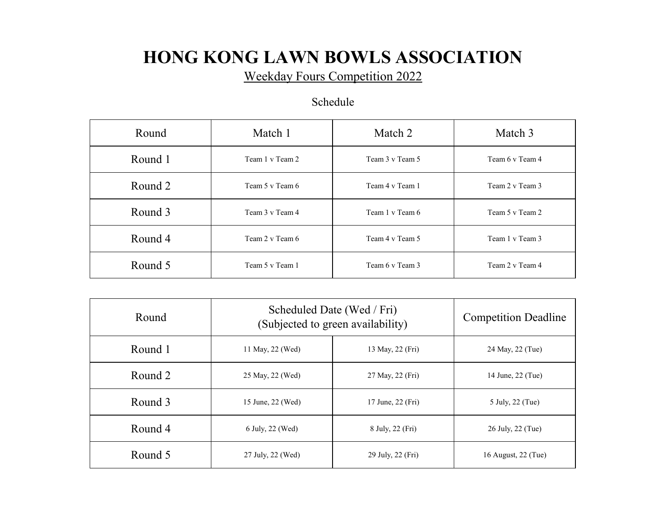Weekday Fours Competition 2022

### Schedule

| Round   | Match 1         | Match 2         | Match 3         |
|---------|-----------------|-----------------|-----------------|
| Round 1 | Team 1 v Team 2 | Team 3 v Team 5 | Team 6 v Team 4 |
| Round 2 | Team 5 v Team 6 | Team 4 v Team 1 | Team 2 v Team 3 |
| Round 3 | Team 3 v Team 4 | Team 1 v Team 6 | Team 5 v Team 2 |
| Round 4 | Team 2 v Team 6 | Team 4 v Team 5 | Team 1 v Team 3 |
| Round 5 | Team 5 v Team 1 | Team 6 v Team 3 | Team 2 v Team 4 |

| Round   |                   | Scheduled Date (Wed / Fri)<br>(Subjected to green availability) | <b>Competition Deadline</b> |
|---------|-------------------|-----------------------------------------------------------------|-----------------------------|
| Round 1 | 11 May, 22 (Wed)  | 13 May, 22 (Fri)                                                | 24 May, 22 (Tue)            |
| Round 2 | 25 May, 22 (Wed)  | 27 May, 22 (Fri)                                                | 14 June, 22 (Tue)           |
| Round 3 | 15 June, 22 (Wed) | 17 June, 22 (Fri)                                               | 5 July, 22 (Tue)            |
| Round 4 | 6 July, 22 (Wed)  | 8 July, 22 (Fri)                                                | 26 July, 22 (Tue)           |
| Round 5 | 27 July, 22 (Wed) | 29 July, 22 (Fri)                                               | 16 August, 22 (Tue)         |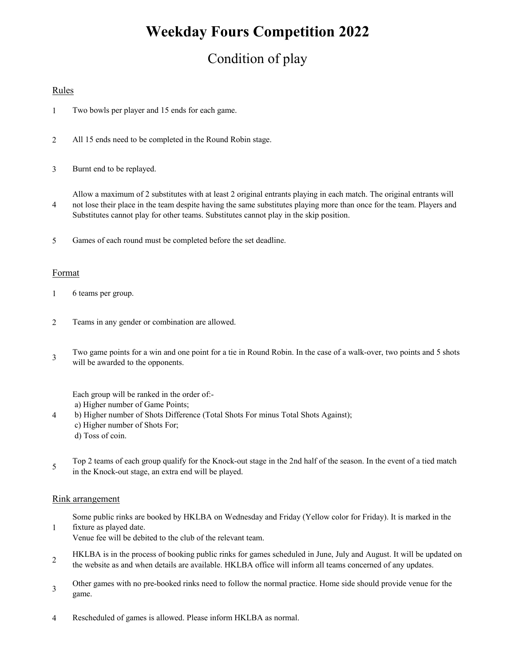## **Weekday Fours Competition 2022**

## Condition of play

### Rules

- 1 Two bowls per player and 15 ends for each game.
- $\overline{2}$ All 15 ends need to be completed in the Round Robin stage.
- 3 Burnt end to be replayed.

4 Allow a maximum of 2 substitutes with at least 2 original entrants playing in each match. The original entrants will not lose their place in the team despite having the same substitutes playing more than once for the team. Players and Substitutes cannot play for other teams. Substitutes cannot play in the skip position.

5 Games of each round must be completed before the set deadline.

#### Format

- 1 6 teams per group.
- 2 Teams in any gender or combination are allowed.
- 3 Two game points for a win and one point for a tie in Round Robin. In the case of a walk-over, two points and 5 shots will be awarded to the opponents.

Each group will be ranked in the order of:-

- a) Higher number of Game Points;
- 4 b) Higher number of Shots Difference (Total Shots For minus Total Shots Against); c) Higher number of Shots For; d) Toss of coin.
- 5 Top 2 teams of each group qualify for the Knock-out stage in the 2nd half of the season. In the event of a tied match in the Knock-out stage, an extra end will be played.

#### Rink arrangement

1

Some public rinks are booked by HKLBA on Wednesday and Friday (Yellow color for Friday). It is marked in the fixture as played date.

Venue fee will be debited to the club of the relevant team.

- 2 HKLBA is in the process of booking public rinks for games scheduled in June, July and August. It will be updated on the website as and when details are available. HKLBA office will inform all teams concerned of any updates.
- 3 Other games with no pre-booked rinks need to follow the normal practice. Home side should provide venue for the game.
- 4 Rescheduled of games is allowed. Please inform HKLBA as normal.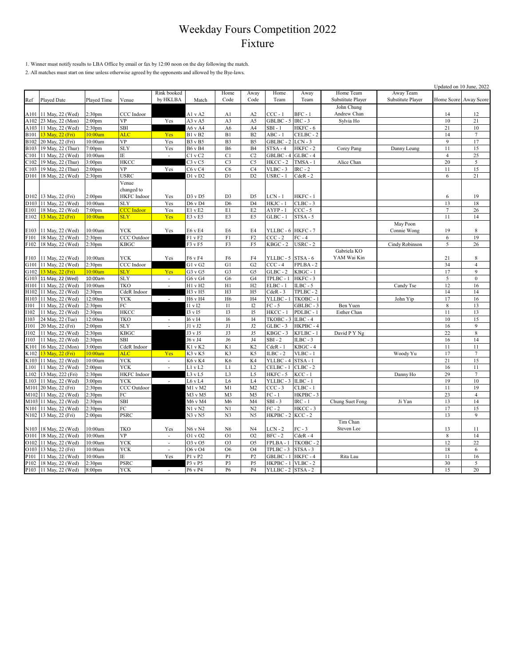1. Winner must notify results to LBA Office by email or fax by 12:00 noon on the day following the match.

2. All matches must start on time unless otherwise agreed by the opponents and allowed by the Bye-laws.

|                   |                       |                    |                    |                             |                        |                      |                                  |                    |                      |                   |                   | Updated on 10 June, 2022 |                      |
|-------------------|-----------------------|--------------------|--------------------|-----------------------------|------------------------|----------------------|----------------------------------|--------------------|----------------------|-------------------|-------------------|--------------------------|----------------------|
|                   |                       |                    |                    | Rink booked                 |                        | Home                 | Away                             | Home               | Away                 | Home Team         | Away Team         |                          |                      |
| Ref               | Played Date           | Played Time        | Venue              | by HKLBA                    | Match                  | Code                 | Code                             | Team               | Team                 | Substitute Player | Substitute Player | Home Score               | Away Score           |
|                   |                       |                    |                    |                             |                        |                      |                                  |                    |                      | John Chung        |                   |                          |                      |
| A101              | 11 May, 22 (Wed)      | 2:30 <sub>pm</sub> | CCC Indoor         |                             | Al v A2                | A <sub>1</sub>       | A2                               | $CCC - 1$          | $BFC - 1$            | Andrew Chan       |                   | 14                       | 12                   |
| A102              | 23 May, 22 (Mon)      | 2:00 <sub>pm</sub> | <b>VP</b>          | Yes                         | A3 v A5                | A3                   | A5                               | GBLBC-5            | $IRC - 3$            | Sylvia Ho         |                   | $10\,$                   | 21                   |
| A103              | 11 May, 22 (Wed)      | 2:30 <sub>pm</sub> | SBI                |                             | A6vA4                  | A <sub>6</sub>       | A4                               | $SBI - 1$          | HKFC-6               |                   |                   | 21                       | 10                   |
| <b>B101</b>       | 13 May, 22 (Fri)      | 10:00am            | <b>ALC</b>         | Yes                         | B1 v B2                | B1                   | B2                               | $ABC - 1$          | CELBC-2              |                   |                   | 14                       | $7\phantom{.0}$      |
| <b>B102</b>       | 20 May, 22 (Fri)      | 10:00am            | <b>VP</b>          | Yes                         | <b>B3</b> v B5         | B <sub>3</sub>       | B <sub>5</sub>                   | GBLBC - 2          | $LCN - 3$            |                   |                   | 9                        | 17                   |
| <b>B103</b>       | 19 May, 22 (Thur)     | 7:00 <sub>pm</sub> | <b>SLY</b>         | Yes                         | <b>B6</b> v B4         | <b>B6</b>            | B <sub>4</sub>                   | $STSA - 4$         | HKFC-2               |                   | Danny Leung       | 11                       | 15                   |
|                   |                       |                    | ΙE                 |                             |                        | C1                   | C <sub>2</sub>                   | $GBLBC - 4$        | $GLBC - 4$           | Corey Pang        |                   | $\overline{4}$           | 25                   |
| C <sub>101</sub>  | 11 May, 22 (Wed)      | 10:00am            |                    | $\mathcal{L}_{\mathcal{A}}$ | $C1$ v $C2$            |                      |                                  |                    |                      |                   |                   |                          |                      |
| $\sim 102$        | 19 May, 22 (Thur)     | 3:00 <sub>pm</sub> | <b>HKCC</b>        |                             | $C3$ v $C5$            | C <sub>3</sub>       | C <sub>5</sub>                   | $HKCC - 2$         | $TMSA - 1$           | Alice Chan        |                   | 20                       | 5                    |
| C103              | 19 May, 22 (Thur)     | 2:00 <sub>pm</sub> | <b>VP</b>          | Yes                         | C6vC4                  | C <sub>6</sub>       | C <sub>4</sub>                   | $VLBC - 3$         | $IRC - 2$            |                   |                   | 11                       | 15                   |
| D <sub>10</sub> 1 | 18 May, 22 (Wed)      | 2:30 <sub>pm</sub> | <b>USRC</b>        |                             | D1 v D2                | D1                   | D <sub>2</sub>                   | USRC - 1           | $CdeR - 2$           |                   |                   | 6                        | 21                   |
|                   |                       |                    | Venue              |                             |                        |                      |                                  |                    |                      |                   |                   |                          |                      |
|                   |                       |                    | changed to         |                             |                        |                      |                                  |                    |                      |                   |                   |                          |                      |
|                   | D102 13 May, 22 (Fri) | 2:00 <sub>pm</sub> | <b>HKFC</b> Indoor | Yes                         | D3vD5                  | D <sub>3</sub>       | D <sub>5</sub>                   | $LCN - 1$          | HKFC-1               |                   |                   | 6                        | 19                   |
| D103              | 11 May, 22 (Wed)      | 10:00am            | <b>SLY</b>         | Yes                         | D6 v D4                | D <sub>6</sub>       | D <sub>4</sub>                   | $HKJC - 1$         | $CLBC - 3$           |                   |                   | 13                       | 18                   |
| E101              | 18 May, 22 (Wed)      | 7:00 <sub>pm</sub> | <b>CCC</b> Indoor  | Yes                         | E1 v E2                | E1                   | E <sub>2</sub>                   | AYFP-1             | $CCC - 5$            |                   |                   | $\overline{7}$           | 26                   |
| E102              | 13 May, 22 (Fri)      | 10:00am            | <b>SLY</b>         | Yes                         | $E3$ v $E5$            | E3                   | E5                               | $GLBC - 1$         | $STSA - 5$           |                   |                   | 11                       | 14                   |
|                   |                       |                    |                    |                             |                        |                      |                                  |                    |                      |                   | May Poon          |                          |                      |
| E103              | 11 May, 22 (Wed)      | 10:00am            | YCK                | Yes                         | E6 v E4                | E6                   | E <sub>4</sub>                   | YLLBC - 6 HKFC - 7 |                      |                   | Connie Wong       | 19                       | 8                    |
| F101              | 18 May, 22 (Wed)      | 2:30 <sub>pm</sub> | CCC Outdoor        |                             | F1 v F2                | F1                   | F <sub>2</sub>                   | $CCC - 2$          | $FC - 4$             |                   |                   | 6                        | 19                   |
| F102              | 18 May, 22 (Wed)      | :30 <sub>pm</sub>  | <b>KBGC</b>        |                             | F3 v F5                | F3                   | F5                               | KBGC - 2           | $USRC - 2$           |                   | Cindy Robinson    | 5                        | 26                   |
|                   |                       |                    |                    |                             |                        |                      |                                  |                    |                      | Gabriela KO       |                   |                          |                      |
| F103              | 11 May, 22 (Wed)      | 10:00am            | <b>YCK</b>         | Yes                         | F6 v F4                | F6                   | F4                               | YLLBC - 5          | STSA - 6             | YAM Wai Kin       |                   | 21                       | 8                    |
| G101              | 11 May, 22 (Wed)      | 2:30 <sub>pm</sub> | CCC Indoor         |                             | G1vG2                  | G1                   | G <sub>2</sub>                   | $CCC - 4$          | FPLBA-2              |                   |                   | 34                       | $\overline{4}$       |
| G102              | 13 May, 22 (Fri)      | 10:00am            | <b>SLY</b>         | Yes                         | G3 v G5                | G <sub>3</sub>       | G5                               | $GLBC - 2$         | $KBGC - 1$           |                   |                   | 17                       | 9                    |
| G103              | 11 May, 22 (Wed)      | 10:00am            | <b>SLY</b>         | $\overline{\phantom{a}}$    | G6 v G4                | G <sub>6</sub>       | G4                               | TPLBC - 1          | HKFC-3               |                   |                   | 5                        | $\mathbf{0}$         |
| H101              | 11 May, 22 (Wed)      | 10:00am            | TKO                | $\mathcal{L}_{\mathcal{A}}$ | H1 v H2                | H1                   | H2                               | ELBC - 1           | $ILBC - 5$           |                   | Candy Tse         | 12                       | 16                   |
| H102              | 11 May, 22 (Wed)      | 2:30 <sub>pm</sub> | CdeR Indoor        |                             | $\overline{H}3$ v $H5$ | H <sub>3</sub>       | H <sub>5</sub>                   | $CdeR - 3$         | TPLBC - 2            |                   |                   | 14                       | 14                   |
| H103              | 11 May, 22 (Wed)      | 12:00nn            | <b>YCK</b>         | $\sim$                      | H6 v H4                | H <sub>6</sub>       | H <sub>4</sub>                   | YLLBC - 1          | TKOBC - 1            |                   | John Yip          | 17                       | 16                   |
| I101              | 11 May, 22 (Wed)      | 2:30 <sub>pm</sub> | FC                 |                             | I1 v I2                | $_{\text{II}}$       | I2                               | $FC - 5$           | GBLBC-3              | Ben Yuen          |                   | $\,$ 8 $\,$              | 13                   |
| I102              | 11 May, 22 (Wed)      | 2:30 <sub>pm</sub> | <b>HKCC</b>        |                             | I3 v I5                | I3                   | I5                               | HKCC-1             | PDLBC-1              | Esther Chan       |                   | 11                       | 13                   |
| 103               | 24 May, 22 (Tue)      | 12:00nn            | <b>TKO</b>         | $\overline{\phantom{a}}$    | <b>I6</b> v I4         | <b>I6</b>            | I4                               | TKOBC - 3          | $ILBC - 4$           |                   |                   | 10                       | 15                   |
| J101              | 20 May, 22 (Fri)      | 2:00 <sub>pm</sub> | <b>SLY</b>         |                             | J1 v J2                | J1                   | J2                               | $GLBC - 3$         | HKPBC-4              |                   |                   | 16                       | $\overline{9}$       |
| J102              | 11 May, 22 (Wed)      | 2:30 <sub>pm</sub> | <b>KBGC</b>        |                             | J3 v J5                | J3                   | J5                               | KBGC - 3           | KFLBC - 1            | David P Y Ng      |                   | $\overline{22}$          | $\,8\,$              |
| J103              | 11 May, 22 (Wed)      | 2:30 <sub>pm</sub> | SBI                |                             | J6 v J4                | J6                   | $_{\mathrm{J}4}$                 | $SBI - 2$          | $ILBC - 3$           |                   |                   | 16                       | 14                   |
| K101              | 16 May, 22 (Mon)      | 3:00 <sub>pm</sub> | CdeR Indoor        |                             | K1 v K2                | K1                   | K <sub>2</sub>                   | $CdeR - 1$         | $KBGC - 4$           |                   |                   | 11                       | 11                   |
| K <sub>102</sub>  | 13 May, 22 (Fri)      | 10:00am            | <b>ALC</b>         | Yes                         | K3 v K5                | K3                   | K <sub>5</sub>                   | $ILBC - 2$         | $VLBC - 1$           |                   | Woody Yu          | 17                       | $\overline{7}$       |
| K103              | 11 May, 22 (Wed)      | 10:00am            | <b>YCK</b>         | $\mathcal{L}_{\mathcal{A}}$ | K6 v K4                | K <sub>6</sub>       | K4                               | YLLBC - 4          | STSA-1               |                   |                   | 21                       | 15                   |
| .101              | 11 May, 22 (Wed)      | 2:00 <sub>pm</sub> | <b>YCK</b>         | $\overline{\phantom{a}}$    | L1 v L2                | L1                   | L2                               | CELBC - 1          | $CLBC - 2$           |                   |                   | 16                       | 11                   |
| $-102$            | 13 May, 222 (Fri)     | 2:30 <sub>pm</sub> | <b>HKFC</b> Indoor |                             | $L3$ v $L5$            | L <sub>3</sub>       | L5                               | HKFC-5             | $KCC - 1$            |                   | Danny Ho          | 29                       | $\tau$               |
|                   |                       |                    | YCK                |                             | L6vL4                  | L6                   | L4                               | YLLBC - 3          | $ILBC - 1$           |                   |                   | 19                       | 10                   |
| $-103$            | 11 May, 22 (Wed)      | 3:00 <sub>pm</sub> | CCC Outdoor        | $\sim$                      |                        |                      |                                  |                    |                      |                   |                   |                          |                      |
| M101              | 20 May, 22 (Fri)      | 2:30 <sub>pm</sub> |                    |                             | M1 v M2                | M <sub>1</sub>       | M <sub>2</sub>                   | $CCC - 3$          | $CLBC - 1$           |                   |                   | 11                       | 19                   |
| M102              | 11 May, 22 (Wed)      | 2:30 <sub>pm</sub> | ${\rm FC}$<br>SBI  |                             | M3 v M5<br>M6 v M4     | M <sub>3</sub><br>M6 | M <sub>5</sub><br>M <sub>4</sub> | $FC - 1$           | HKPBC-3<br>$IRC - 1$ |                   |                   | 23<br>13                 | $\overline{4}$<br>14 |
| M103              | 11 May, 22 (Wed)      | 2:30 <sub>pm</sub> |                    |                             |                        |                      |                                  | $SBI - 3$          |                      | Chung Suet Fong   | Ji Yan            |                          |                      |
| N 101             | 11 May, 22 (Wed)      | 2:30 <sub>pm</sub> | FC                 |                             | N1 v N2                | N <sub>1</sub>       | N <sub>2</sub>                   | $FC - 2$           | HKCC-3               |                   |                   | 17                       | 15                   |
| N102              | 13 May, 22 (Fri)      | 2:00 <sub>pm</sub> | <b>PSRC</b>        |                             | N3 v N5                | N <sub>3</sub>       | N <sub>5</sub>                   | HKPBC-2            | $KCC - 2$            |                   |                   | 13                       | $\mathbf{Q}$         |
|                   |                       |                    |                    |                             |                        |                      |                                  |                    |                      | Tim Chan          |                   |                          |                      |
| N103              | 18 May, 22 (Wed)      | 10:00am            | <b>TKO</b>         | Yes                         | N6 v N4                | N <sub>6</sub>       | N <sub>4</sub>                   | $LCN - 2$          | $FC - 3$             | Steven Lee        |                   | 13                       | 11                   |
| O101              | 18 May, 22 (Wed)      | 10:00am            | <b>VP</b>          | $\overline{\phantom{a}}$    | O1 v O2                | O <sub>1</sub>       | O <sub>2</sub>                   | $BFC - 2$          | $CdeR - 4$           |                   |                   | $\,$ 8 $\,$              | 14                   |
| O102              | 11 May, 22 (Wed)      | 10:00am            | <b>YCK</b>         | $\sim$                      | O3 v O5                | O <sub>3</sub>       | O <sub>5</sub>                   | FPLBA - 1          | TKOBC-2              |                   |                   | 12                       | 22                   |
| O103              | 13 May, 22 (Fri)      | 10:00am            | <b>YCK</b>         | $\mathcal{L}_{\mathcal{A}}$ | O6 v O4                | O <sub>6</sub>       | O <sub>4</sub>                   | TPLBC - 3          | $STSA - 3$           |                   |                   | 18                       | 6                    |
| P101              | 11 May, 22 (Wed)      | 10:00am            | ΙE                 | Yes                         | P1 v P2                | P <sub>1</sub>       | P <sub>2</sub>                   | GBLBC - 1 HKFC - 4 |                      | Rita Lau          |                   | 11                       | 16                   |
| P102              | 18 May, 22 (Wed)      | 2:30 <sub>pm</sub> | <b>PSRC</b>        |                             | P3 v P5                | P <sub>3</sub>       | P <sub>5</sub>                   | HKPBC - 1          | $VLBC - 2$           |                   |                   | 30                       | 5                    |
| P103              | 11 May, 22 (Wed)      | 8:00pm             | <b>YCK</b>         | $\sim$                      | P6 v P4                | P <sub>6</sub>       | <b>P4</b>                        | YLLBC - 2          | $STSA - 2$           |                   |                   | 15                       | 20                   |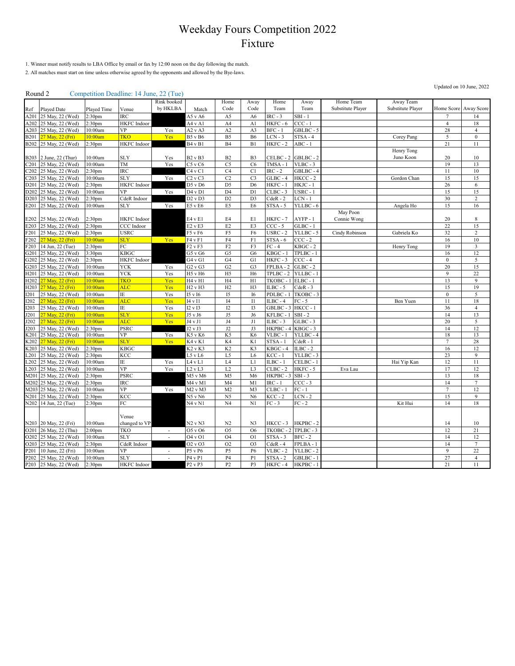1. Winner must notify results to LBA Office by email or fax by 12:00 noon on the day following the match.

2. All matches must start on time unless otherwise agreed by the opponents and allowed by the Bye-laws.

#### Round 2 Competition Deadline: 14 June, 22 (Tue)

| $100$ with $\mu$              |                        |                    | $\epsilon$ compound beautified $\epsilon$ is ano, $\epsilon$ if $\epsilon$ | Rink booked              |                                 | Home             | Away           | Home       | Away       | Home Team         | Away Team         |                  |                         |
|-------------------------------|------------------------|--------------------|----------------------------------------------------------------------------|--------------------------|---------------------------------|------------------|----------------|------------|------------|-------------------|-------------------|------------------|-------------------------|
| Ref                           | Played Date            | Played Time        | Venue                                                                      | by HKLBA                 | Match                           | Code             | Code           | Team       | Team       | Substitute Player | Substitute Player |                  | Home Score Away Score   |
| A201                          | 25 May, 22 (Wed)       | 2:30 <sub>pm</sub> | <b>IRC</b>                                                                 |                          | A5 v A6                         | A5               | A <sub>6</sub> | $IRC - 3$  | $SBI - 1$  |                   |                   | 7                | 14                      |
| A202                          | 25 May, 22 (Wed)       | 2:30 <sub>pm</sub> | HKFC Indoor                                                                |                          | A4 v A1                         | A4               | A1             | HKFC - 6   | $CCC - 1$  |                   |                   | $\overline{4}$   | 18                      |
| A203                          | 25 May, 22 (Wed)       | 10:00am            | VP                                                                         | Yes                      | A2vA3                           | A2               | A3             | $BFC - 1$  | GBLBC-5    |                   |                   | 28               | $\overline{4}$          |
| <b>B201</b>                   | 27 May, 22 (Fri)       | 10:00am            | TKO                                                                        | Yes                      | <b>B5</b> v B6                  | B <sub>5</sub>   | <b>B6</b>      | $LCN - 3$  | $STSA - 4$ |                   | Corey Pang        | $\sqrt{5}$       | $\boldsymbol{0}$        |
| <b>B202</b>                   | 25 May, 22 (Wed)       | 2:30 <sub>pm</sub> | <b>HKFC</b> Indoor                                                         |                          | B <sub>4</sub> v B <sub>1</sub> | B4               | B1             | HKFC-2     | $ABC - 1$  |                   |                   | 21               | 11                      |
|                               |                        |                    |                                                                            |                          |                                 |                  |                |            |            |                   | Henry Tong        |                  |                         |
|                               | B203 2 June, 22 (Thur) | 10:00am            | <b>SLY</b>                                                                 | Yes                      | <b>B2</b> v <b>B3</b>           | B2               | B <sub>3</sub> | CELBC - 2  | GBLBC-2    |                   | Juno Koon         | 20               | 10                      |
| C201                          | 25 May, 22 (Wed)       | 10:00am            | TM                                                                         | Yes                      | $C5$ v $C6$                     | C <sub>5</sub>   | C <sub>6</sub> | TMSA-1     | $VLBC - 3$ |                   |                   | 19               | 13                      |
| C <sub>2</sub> 0 <sub>2</sub> | 25 May, 22 (Wed)       | 2:30 <sub>pm</sub> | IRC                                                                        |                          | C4 v C1                         | C4               | C1             | $IRC - 2$  | GBLBC-4    |                   |                   | 11               | $10\,$                  |
| C203                          | 25 May, 22 (Wed)       | 10:00am            | <b>SLY</b>                                                                 | Yes                      | C2vC3                           | C2               | C <sub>3</sub> | $GLBC - 4$ | $HKCC - 2$ |                   | Gordon Chan       | 15               | 15                      |
| D201                          | 25 May, 22 (Wed)       | 2:30 <sub>pm</sub> | <b>HKFC</b> Indoor                                                         |                          | D5 v D6                         | D <sub>5</sub>   | D <sub>6</sub> | HKFC-1     | HKJC - 1   |                   |                   | 26               | 6                       |
| D202                          | 25 May, 22 (Wed)       | 10:00am            | <b>VP</b>                                                                  | Yes                      | D4vD1                           | D <sub>4</sub>   | D <sub>1</sub> | $CLBC - 3$ | $USRC - 1$ |                   |                   | 15               | 15                      |
| D <sub>20</sub> 3             | 25 May, 22 (Wed)       | 2:30 <sub>pm</sub> | CdeR Indoor                                                                |                          | D2 v D3                         | D2               | D <sub>3</sub> | $CdeR - 2$ | $LCN - 1$  |                   |                   | 30               | $\sqrt{2}$              |
| E201                          | 25 May, 22 (Wed)       | 10:00am            | <b>SLY</b>                                                                 | Yes                      | E5 v E6                         | E5               | E <sub>6</sub> | $STSA - 5$ | YLLBC - 6  |                   | Angela Ho         | 15               | 16                      |
|                               |                        |                    |                                                                            |                          |                                 |                  |                |            |            | May Poon          |                   |                  |                         |
| E202                          | 25 May, 22 (Wed)       | 2:30 <sub>pm</sub> | HKFC Indoor                                                                |                          | E4 v E1                         | E4               | E1             | HKFC-7     | AYFP-1     | Connie Wong       |                   | 20               | $\,$ 8 $\,$             |
| E203                          | 25 May, 22 (Wed)       | 2:30 <sub>pm</sub> | CCC Indoor                                                                 |                          | $E2$ v $E3$                     | E <sub>2</sub>   | E3             | $CCC - 5$  | $GLBC - 1$ |                   |                   | 22               | 15                      |
| F201                          | 25 May, 22 (Wed)       | 2:30 <sub>pm</sub> | <b>USRC</b>                                                                |                          | F5 v F6                         | F5               | F <sub>6</sub> | $USRC - 2$ | YLLBC-5    | Cindy Robinson    | Gabriela Ko       | 32               | $\mathfrak 2$           |
| F202                          | 27 May, 22 (Fri)       | 10:00am            | <b>SLY</b>                                                                 | Yes                      | F4 v F1                         | F4               | F1             | $STSA - 6$ | $CCC - 2$  |                   |                   | 16               | $10\,$                  |
| F203                          | 14 Jun, 22 (Tue)       | 2:30 <sub>pm</sub> | FC                                                                         |                          | F2vF3                           | F2               | F3             | $FC - 4$   | $KBGC - 2$ |                   | Henry Tong        | 19               | $\overline{\mathbf{3}}$ |
| G201                          | 25 May, 22 (Wed)       | 3:30 <sub>pm</sub> | KBGC                                                                       |                          | G5 v G6                         | G <sub>5</sub>   | G <sub>6</sub> | $KBGC - 1$ | TPLBC - 1  |                   |                   | 16               | 12                      |
| G202                          | 25 May, 22 (Wed)       | 2:30 <sub>pm</sub> | HKFC Indoor                                                                |                          | G4vG1                           | G4               | G1             | HKFC-3     | $CCC - 4$  |                   |                   | $\boldsymbol{0}$ | 5                       |
| G203                          | 25 May, 22 (Wed)       | 10:00am            | <b>YCK</b>                                                                 | Yes                      | G2vG3                           | G2               | G <sub>3</sub> | FPLBA-2    | $GLBC - 2$ |                   |                   | 20               | 15                      |
| H201                          | 25 May, 22 (Wed)       | 10:00am            | <b>YCK</b>                                                                 | Yes                      | H5 v H6                         | H <sub>5</sub>   | H <sub>6</sub> | TPLBC - 2  | YLLBC - 1  |                   |                   | $\overline{9}$   | 22                      |
| H <sub>202</sub>              | 27 May, 22 (Fri)       | 10:00am            | <b>TKO</b>                                                                 | Yes                      | H4 v H1                         | H <sub>4</sub>   | H1             | TKOBC - 1  | $ELBC - 1$ |                   |                   | 13               | $\overline{9}$          |
| H <sub>203</sub>              | 27 May, 22 (Fri)       | 10:00am            | <b>ALC</b>                                                                 | Yes                      | H <sub>2</sub> v H <sub>3</sub> | H2               | H3             | ILBC - $5$ | $CdeR - 3$ |                   |                   | 15               | 19                      |
| <b>I201</b>                   | 25 May, 22 (Wed)       | 10:00am            | IΕ                                                                         | Yes                      | I5 v I6                         | I5               | <b>I6</b>      | PDLBC-1    | TKOBC - 3  |                   |                   | $\boldsymbol{0}$ | $\mathfrak s$           |
| <b>I202</b>                   | 27 May, 22 (Fri)       | 10:00am            | <b>ALC</b>                                                                 | Yes                      | 14 v 11                         | $_{\mathrm{I}4}$ | $\mathbf{I}$   | $ILBC - 4$ | $FC - 5$   |                   | Ben Yuen          | 11               | 18                      |
| I203                          | 25 May, 22 (Wed)       | 10:00am            | IΕ                                                                         | Yes                      | I2 v I3                         | I2               | I3             | GBLBC-3    | HKCC-1     |                   |                   | 36               | $\overline{4}$          |
| J201                          | 27 May, 22 (Fri)       | 10:00am            | <b>SLY</b>                                                                 | Yes                      | J5 v J6                         | J5               | J6             | KFLBC - 1  | $SBI - 2$  |                   |                   | 14               | 13                      |
| J202                          | 27 May, 22 (Fri)       | 10:00am            | <b>ALC</b>                                                                 | Yes                      | J4 v J1                         | $_{\rm J4}$      | J1             | $ILBC - 3$ | $GLBC - 3$ |                   |                   | 20               | $\mathfrak s$           |
| J203                          | 25 May, 22 (Wed)       | 2:30 <sub>pm</sub> | PSRC                                                                       |                          | $J2$ v $J3$                     | $\rm J2$         | J3             | HKPBC-4    | KBGC-3     |                   |                   | 14               | 12                      |
| K201                          | 25 May, 22 (Wed)       | 10:00am            | VP                                                                         | Yes                      | K5 v K6                         | K5               | K <sub>6</sub> | $VLBC - 1$ | YLLBC-4    |                   |                   | 18               | 13                      |
| K202                          | 27 May, 22 (Fri)       | 10:00am            | <b>SLY</b>                                                                 | Yes                      | K <sub>4</sub> v K <sub>1</sub> | K4               | K1             | $STSA - 1$ | $CdeR - 1$ |                   |                   | $\tau$           | 28                      |
| K203                          | 25 May, 22 (Wed)       | 2:30 <sub>pm</sub> | KBGC                                                                       |                          | K <sub>2</sub> v K <sub>3</sub> | K <sub>2</sub>   | K3             | $KBGC - 4$ | $ILBC - 2$ |                   |                   | 16               | 12                      |
| L <sub>201</sub>              | 25 May, 22 (Wed)       | 2:30 <sub>pm</sub> | KCC                                                                        |                          | L5 v L6                         | L5               | L <sub>6</sub> | $KCC - 1$  | YLLBC-3    |                   |                   | 23               | 9                       |
| .202                          | 25 May, 22 (Wed)       | 10:00am            | IΕ                                                                         | Yes                      | L4 v L1                         | L <sub>4</sub>   | L1             | $ILBC - 1$ | CELBC-1    |                   | Hai Yip Kan       | 12               | 11                      |
| .203                          | 25 May, 22 (Wed)       | 10:00am            | VP                                                                         | Yes                      | $L2$ v $L3$                     | L2               | L <sub>3</sub> | $CLBC - 2$ | HKFC-5     | Eva Lau           |                   | 17               | 12                      |
| M201                          | 25 May, 22 (Wed)       | 2:30 <sub>pm</sub> | PSRC                                                                       |                          | M5 v M6                         | M <sub>5</sub>   | M6             | HKPBC-3    | $SBI - 3$  |                   |                   | 13               | 18                      |
| M202                          | 25 May, 22 (Wed)       | 2:30 <sub>pm</sub> | IRC                                                                        |                          | M4 v M1                         | M <sub>4</sub>   | M1             | $IRC - 1$  | $CCC - 3$  |                   |                   | 14               | $\tau$                  |
| M203                          | 25 May, 22 (Wed)       | 10:00am            | <b>VP</b>                                                                  | Yes                      | M2 v M3                         | M <sub>2</sub>   | M <sub>3</sub> | CLBC -     | $FC - 1$   |                   |                   | 7                | 12                      |
| N201                          | 25 May, 22 (Wed)       | 2:30 <sub>pm</sub> | KCC                                                                        |                          | $N5$ v $N6$                     | N <sub>5</sub>   | N6             | $KCC - 2$  | $LCN - 2$  |                   |                   | 15               | 9                       |
| N202                          | 14 Jun, 22 (Tue)       | 2:30 <sub>pm</sub> | FC                                                                         |                          | N4 v N1                         | N4               | N1             | $FC - 3$   | $FC - 2$   |                   | Kit Hui           | 14               | 18                      |
|                               |                        |                    |                                                                            |                          |                                 |                  |                |            |            |                   |                   |                  |                         |
|                               |                        |                    | Venue                                                                      |                          |                                 |                  |                |            |            |                   |                   |                  |                         |
|                               | N203 20 May, 22 (Fri)  | 10:00am            | changed to VP                                                              |                          | N2 v N3                         | N2               | N <sub>3</sub> | HKCC-3     | HKPBC-2    |                   |                   | 14               | 10                      |
| O201                          | 26 May, 22 (Thu)       | 2:00 <sub>pm</sub> | <b>TKO</b>                                                                 | $\sim$                   | O5 v O6                         | O <sub>5</sub>   | O <sub>6</sub> | TKOBC-2    | TPLBC - 3  |                   |                   | 12               | 21                      |
| O202                          | 25 May, 22 (Wed)       | 10:00am            | <b>SLY</b>                                                                 | $\overline{\phantom{a}}$ | 04 v 01                         | O <sub>4</sub>   | O <sub>1</sub> | $STSA - 3$ | $BFC - 2$  |                   |                   | 14               | 12                      |
| O <sub>2</sub> 0 <sub>3</sub> | 25 May, 22 (Wed)       | 2:30 <sub>pm</sub> | CdeR Indoor                                                                |                          | O2vO3                           | O <sub>2</sub>   | O <sub>3</sub> | $CdeR - 4$ | FPLBA-1    |                   |                   | 14               | $\tau$                  |
| P201                          | 10 June, 22 (Fri)      | 10:00am            | <b>VP</b>                                                                  |                          | P5 v P6                         | P <sub>5</sub>   | P6             | $VLBC - 2$ | YLLBC-2    |                   |                   | $\overline{9}$   | 22                      |
| P202                          | 25 May, 22 (Wed)       | 10:00am            | <b>SLY</b>                                                                 | $\overline{\phantom{a}}$ | P4 v P1                         | P <sub>4</sub>   | P1             | $STSA - 2$ | GBLBC-1    |                   |                   | $27\,$           | $\overline{4}$          |
|                               | P203 25 May, 22 (Wed)  | 2:30pm             | HKFC Indoor                                                                |                          | P2 v P3                         | P <sub>2</sub>   | P3             | HKFC-4     | HKPBC-1    |                   |                   | 21               | 11                      |
|                               |                        |                    |                                                                            |                          |                                 |                  |                |            |            |                   |                   |                  |                         |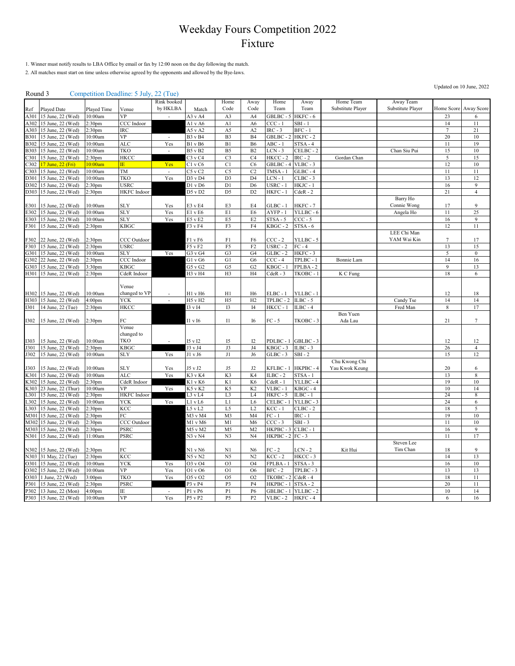1. Winner must notify results to LBA Office by email or fax by 12:00 noon on the day following the match.

2. All matches must start on time unless otherwise agreed by the opponents and allowed by the Bye-laws.

#### Round 3 Competition Deadline: 5 July, 22 (Tue)

|              |                                       |                                          |                          | Rink booked              |                        | Home                             | Away                             | Home                  | Away                  | Home Team         | Away Team         |                |                 |
|--------------|---------------------------------------|------------------------------------------|--------------------------|--------------------------|------------------------|----------------------------------|----------------------------------|-----------------------|-----------------------|-------------------|-------------------|----------------|-----------------|
| Ref          | Played Date                           | Played Time                              | Venue                    | by HKLBA                 | Match                  | Code                             | Code                             | Team                  | Team                  | Substitute Player | Substitute Player | Home Score     | Away Score      |
| A301         | 15 June, 22 (Wed)                     | 10:00am                                  | <b>VP</b>                |                          | A3 v A4                | A3                               | A4                               | GBLBC-5               | HKFC - 6              |                   |                   | 23             | 6               |
| A302         | 15 June, 22 (Wed)                     | 2:30 <sub>pm</sub>                       | CCC Indoor               |                          | Al v A6                | A <sub>1</sub>                   | A6                               | $CCC - 1$             | $SBI - 1$             |                   |                   | 14             | 11              |
| A303         | 15 June, 22 (Wed)                     | 2:30 <sub>pm</sub>                       | <b>IRC</b>               |                          | A5vA2                  | A5                               | A2                               | $IRC - 3$             | $BFC - 1$             |                   |                   | $\tau$         | 21              |
| <b>B301</b>  | 15 June, 22 (Wed)                     | 10:00am                                  | VP                       | $\sim$                   | <b>B3</b> v <b>B4</b>  | B <sub>3</sub>                   | <b>B4</b>                        | GBLBC-2               | HKFC-2                |                   |                   | 20             | 10              |
| <b>B302</b>  | 15 June, 22 (Wed)                     | 10:00am                                  | ALC                      | Yes                      | <b>B1</b> v B6         | B1                               | <b>B6</b>                        | ABC - 1               | $STSA - 4$            |                   |                   | 11             | 19              |
| <b>B303</b>  | 15 June, 22 (Wed)                     | 10:00am                                  | <b>TKO</b>               | $\overline{\phantom{a}}$ | <b>B5</b> v <b>B2</b>  | B <sub>5</sub>                   | B2                               | $LCN - 3$             | CELBC-2               |                   | Chan Siu Pui      | 15             | 10              |
| 2301         | 15 June, 22 (Wed)                     | 2:30 <sub>pm</sub>                       | HKCC                     |                          | $C3$ v $C4$            | C <sub>3</sub>                   | C4                               | $HKCC - 2$            | $IRC - 2$             | Gordan Chan       |                   | $\overline{5}$ | 15              |
| 2302         | 7 June, 22 (Fri)                      | 10:00am                                  | IE.                      | Yes                      | C1 v C6                | C <sub>1</sub>                   | C <sub>6</sub>                   | GBLBC-4               | $VLBC - 3$            |                   |                   | 12             | $10\,$          |
| 303          | 15 June, 22 (Wed)                     | 10:00am                                  | TM                       |                          | $C5$ v $C2$            | $\overline{C5}$                  | $\overline{C2}$                  | $TMSA - 1$            | $GLBC - 4$            |                   |                   | 11             | 11              |
| D301         | 15 June, 22 (Wed)                     | 10:00am                                  | TKO                      | Yes                      | $D3$ v $D4$            | D <sub>3</sub>                   | D <sub>4</sub>                   | $LCN - 1$             | CLBC - 3              |                   |                   | 13             | 12              |
| D302         | 15 June, 22 (Wed)                     | :30 <sub>pm</sub>                        | USRC                     |                          | D1 v D6                | $\overline{D}$                   | D <sub>6</sub>                   | USRC - 1              | HKJC - 1              |                   |                   | 16             | $\overline{9}$  |
| D303         | 15 June, 22 (Wed)                     | 2:30 <sub>pm</sub>                       | <b>HKFC</b> Indoor       |                          | D5 v D2                | D <sub>5</sub>                   | D <sub>2</sub>                   | HKFC-1                | $CdeR - 2$            |                   | Barry Ho          | 21             | $\overline{4}$  |
| E301         |                                       |                                          |                          |                          |                        |                                  | E4                               | $GLBC - 1$            |                       |                   |                   | 17             | 9               |
| E302         | 15 June, 22 (Wed)<br>5 June, 22 (Wed) | 10:00am<br>10:00am                       | <b>SLY</b><br><b>SLY</b> | Yes<br>Yes               | E3 v E4<br>E1 v E6     | E3<br>E1                         | E6                               | AYFP-1                | HKFC - 7<br>YLLBC - 6 |                   | Connie Wong       | 11             | 25              |
| E303         | 15 June, 22 (Wed)                     | 10:00am                                  | <b>SLY</b>               | Yes                      | E5 v E2                | E5                               | E2                               | $STSA - 5$            | $CCC - 5$             |                   | Angela Ho         | 16             | 9               |
| F301         | 15 June, 22 (Wed)                     | 2:30 <sub>pm</sub>                       | KBGC                     |                          | F3 v F4                | F3                               | F4                               | $KBGC - 2$            | STSA - 6              |                   |                   | 12             | 11              |
|              |                                       |                                          |                          |                          |                        |                                  |                                  |                       |                       |                   | LEE Chi Man       |                |                 |
| F302         | 22 June, 22 (Wed)                     | 2:30 <sub>pm</sub>                       | CCC Outdoor              |                          | F1 v F6                | F1                               | F6                               | $CCC - 2$             | YLLBC - 5             |                   | YAM Wai Kin       | 7              | 17              |
| F303         | 15 June, 22 (Wed)                     | 2:30 <sub>pm</sub>                       | <b>USRC</b>              |                          | F5vF2                  | F5                               | F <sub>2</sub>                   | $USRC - 2$            | $FC - 4$              |                   |                   | 13             | 15              |
| G301         | 15 June, 22 (Wed)                     | 10:00am                                  | <b>SLY</b>               | Yes                      | G3 v G4                | G <sub>3</sub>                   | G4                               | $GLBC - 2$            | $HKFC - 3$            |                   |                   | 5              | $\mathbf{0}$    |
| G302         | 22 June, 22 (Wed)                     | 2:30 <sub>pm</sub>                       | CCC Indoor               |                          | G1 v G6                | G1                               | G <sub>6</sub>                   | $CCC - 4$             | TPLBC - 1             | Bonnie Lam        |                   | 14             | 16              |
| G303         | 15 June, 22 (Wed)                     | 3:30 <sub>pm</sub>                       | <b>KBGC</b>              |                          | $G5$ v $G2$            | G5                               | G <sub>2</sub>                   | KBGC - 1              | FPLBA-2               |                   |                   | $\overline{9}$ | 13              |
| H301         | 15 June, 22 (Wed)                     | 2:30 <sub>pm</sub>                       | CdeR Indoor              |                          | H3 v H4                | H3                               | H <sub>4</sub>                   | $CdeR - 3$            | TKOBC - 1             | K C Fung          |                   | $18\,$         | 6               |
|              |                                       |                                          |                          |                          |                        |                                  |                                  |                       |                       |                   |                   |                |                 |
|              |                                       |                                          | Venue                    |                          |                        |                                  |                                  |                       |                       |                   |                   |                |                 |
| H302         | 15 June, 22 (Wed)                     | 10:00am                                  | changed to VP            |                          | H1 v H6                | H1                               | H <sub>6</sub>                   | ELBC - 1              | YLLBC-1               |                   |                   | 12             | 18              |
| H303         | 15 June, 22 (Wed)                     | 4:00 <sub>pm</sub>                       | <b>YCK</b>               | $\overline{\phantom{a}}$ | H5 v H2                | H <sub>5</sub>                   | H2                               | TPLBC - 2             | $ILBC - 5$            |                   | Candy Tse         | 14             | 14              |
| <b>I301</b>  | 14 June, 22 (Tue)                     | 2:30 <sub>pm</sub>                       | HKCC                     |                          | I3 v I4                | I3                               | I4                               | HKCC-1                | $ILBC - 4$            |                   | Fred Man          | 8              | 17              |
|              |                                       |                                          |                          |                          |                        |                                  |                                  |                       |                       | Ben Yuen          |                   |                |                 |
| <b>I302</b>  | 15 June, 22 (Wed)                     | 2:30 <sub>pm</sub>                       | FC<br>Venue              |                          | I1 v I6                | $_{\rm II}$                      | I6                               | $FC - 5$              | TKOBC - 3             | Ada Lau           |                   | 21             | $7\phantom{.0}$ |
|              |                                       |                                          | changed to               |                          |                        |                                  |                                  |                       |                       |                   |                   |                |                 |
| 1303         | 15 June, 22 (Wed)                     | 0:00am                                   | TKO                      |                          | 15 v 12                | I <sub>5</sub>                   | I2                               | PDLBC - 1             | GBLBC-3               |                   |                   | 12             | 12              |
| J301         | 15 June, 22 (Wed)                     | 2:30 <sub>pm</sub>                       | KBGC                     |                          | J3 v J4                | J3                               | J4                               | KBGC - 3              | $ILBC - 3$            |                   |                   | 26             | $\overline{4}$  |
| J302         | 15 June, 22 (Wed)                     | 10:00am                                  | <b>SLY</b>               | Yes                      | J1 v J6                | $_{\rm J1}$                      | J6                               | $GLBC - 3$            | $SBI - 2$             |                   |                   | 15             | 12              |
|              |                                       |                                          |                          |                          |                        |                                  |                                  |                       |                       | Chu Kwong Chi     |                   |                |                 |
| J303         | 15 June, 22 (Wed)                     | 10:00am                                  | SLY                      | Yes                      | J5 v J2                | J5                               | J2                               | KFLBC - 1             | HKPBC-4               | Yau Kwok Keung    |                   | 20             | 6               |
| K301         | 15 June, 22 (Wed)                     | 10:00am                                  | <b>ALC</b>               | Yes                      | K3 v K4                | K <sub>3</sub>                   | K4                               | $ILBC - 2$            | $STSA - 1$            |                   |                   | 13             | $\,$ 8 $\,$     |
| K302         | 15 June, 22 (Wed)                     | 2:30 <sub>pm</sub>                       | CdeR Indoor              |                          | K1 v K6                | K1                               | K <sub>6</sub>                   | $CdeR - 1$            | YLLBC - 4             |                   |                   | 19             | $10\,$          |
| 303          | 23 June, 22 (Thur)                    | 10:00am                                  | VP                       | Yes                      | K5 v K2                | K5                               | K <sub>2</sub>                   | $VLBC - 1$            | $KBGC - 4$            |                   |                   | 10             | 14              |
| .301         | 15 June, 22 (Wed)                     | 2:30pm                                   | <b>HKFC</b> Indoor       |                          | L3 v L4                | L3                               | L4                               | HKFC - 5              | ILBC - 1              |                   |                   | 24             | 8               |
| .302         | 15 June, 22 (Wed)                     | 10:00am                                  | YCK                      | Yes                      | L1 v L6                | L1                               | L <sub>6</sub>                   | CELBC - 1             | YLLBC-3               |                   |                   | 24             | 6               |
| 303          | 15 June, 22 (Wed)                     | :30 $pm$                                 | KCC                      |                          | $L5$ v $L2$            | L5                               | L <sub>2</sub>                   | KCC - 1               | $CLBC - 2$            |                   |                   | 18             | 5               |
| M301         | 15 June, 22 (Wed)                     | :30 <sub>pm</sub>                        | FC                       |                          | M3 v M4                | M3                               | M <sub>4</sub>                   | $FC - 1$              | $IRC - 1$             |                   |                   | 19             | 10              |
| M302         | 15 June, 22 (Wed)                     | :30 <sub>pm</sub>                        | CCC Outdoor              |                          | M1 v M6                | M <sub>1</sub>                   | M <sub>6</sub>                   | $CCC - 3$             | $SBI - 3$             |                   |                   | 11             | 10              |
| M303         | 15 June, 22 (Wed)                     | 2:30 <sub>pm</sub>                       | <b>PSRC</b>              |                          | M5 v M2                | M <sub>5</sub>                   | M <sub>2</sub>                   | HKPBC-3               | $CLBC - 1$            |                   |                   | 16             | 9               |
| N301         | 15 June, 22 (Wed)                     | 11:00am                                  | PSRC                     |                          | N3 v N4                | N3                               | N <sub>4</sub>                   | HKPBC - 2             | $FC - 3$              |                   |                   | 11             | 17              |
|              |                                       |                                          |                          |                          |                        |                                  |                                  |                       |                       |                   | Steven Lee        |                |                 |
| N302<br>N303 | 15 June, 22 (Wed)<br>31 May, 22 (Tue) | 2:30 <sub>pm</sub><br>2:30 <sub>pm</sub> | FC<br>KCC                |                          | N1 v N6<br>$N5$ v $N2$ | N <sub>1</sub><br>N <sub>5</sub> | N <sub>6</sub><br>N <sub>2</sub> | $FC - 2$<br>$KCC - 2$ | $LCN - 2$<br>HKCC-3   | Kit Hui           | Tim Chan          | 18<br>14       | 9<br>13         |
| 0301         | 15 June, 22 (Wed)                     | 10:00am                                  | YCK                      | Yes                      | O3 v O4                | O <sub>3</sub>                   | O <sub>4</sub>                   | FPLBA - 1             | $STSA - 3$            |                   |                   | 16             | $10\,$          |
| O302         | 15 June, 22 (Wed)                     | 10:00am                                  | VP                       | Yes                      | O1 v O6                | O <sub>1</sub>                   | O <sub>6</sub>                   | $BFC - 2$             | TPLBC - 3             |                   |                   | 13             | 13              |
| O303         | June, 22 (Wed)                        | 3:00 <sub>pm</sub>                       | TKO                      | Yes                      | O5 v O2                | O <sub>5</sub>                   | O <sub>2</sub>                   | TKOBC - 2             | $CdeR - 4$            |                   |                   | 18             | 11              |
| P301         | 15 June, 22 (Wed)                     | 2:30 <sub>pm</sub>                       | PSRC                     |                          | P3 v P4                | P3                               | P4                               | HKPBC - 1             | $STSA - 2$            |                   |                   | 20             | 11              |
| P302         | 13 June, 22 (Mon)                     | 4:00 <sub>pm</sub>                       | IΕ                       |                          | P1 v P6                | P <sub>1</sub>                   | P6                               | GBLBC - 1             | YLLBC-2               |                   |                   | 10             | 14              |
| P303         | 15 June, 22 (Wed)                     | 10:00am                                  | VP                       | Yes                      | P5 v P2                | P <sub>5</sub>                   | P <sub>2</sub>                   | $VLBC - 2$            | HKFC-4                |                   |                   | 6              | 16              |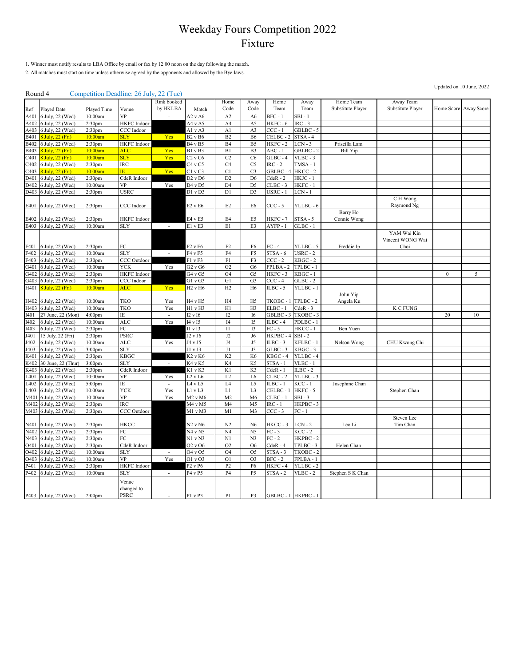1. Winner must notify results to LBA Office by email or fax by 12:00 noon on the day following the match.

2. All matches must start on time unless otherwise agreed by the opponents and allowed by the Bye-laws.

#### Round 4 Competition Deadline: 26 July, 22 (Tue)

|                  |                                      |                                          | $-0$ $-0$          | Rink booked              |                                 | Home                             | Away                             | Home                  | Away                   | Home Team         | Away Team         |                  |            |
|------------------|--------------------------------------|------------------------------------------|--------------------|--------------------------|---------------------------------|----------------------------------|----------------------------------|-----------------------|------------------------|-------------------|-------------------|------------------|------------|
| Ref              | Played Date                          | Played Time                              | Venue              | by HKLBA                 | Match                           | Code                             | Code                             | Team                  | Team                   | Substitute Player | Substitute Player | Home Score       | Away Score |
|                  |                                      |                                          | VP                 |                          |                                 | A2                               |                                  | $BFC - 1$             | $SBI - 1$              |                   |                   |                  |            |
| A401             | 6 July, 22 (Wed)                     | 10:00am                                  |                    |                          | A2vA6                           |                                  | A <sub>6</sub>                   |                       | $IRC - 3$              |                   |                   |                  |            |
| A402             | 6 July, 22 (Wed)                     | 2:30pm                                   | <b>HKFC</b> Indoor |                          | A4 v A5                         | A4<br>A <sub>1</sub>             | A5                               | HKFC - 6<br>$CCC - 1$ |                        |                   |                   |                  |            |
| A403             | 6 July, 22 (Wed)                     | 2:30 <sub>pm</sub>                       | CCC Indoor         |                          | Al v A3                         |                                  | A3                               |                       | GBLBC - 5              |                   |                   |                  |            |
| B401             | 3 July, 22 (Fri)                     | 10:00am                                  | <b>SLY</b>         | Yes                      | <b>B2</b> v B6                  | B2                               | <b>B6</b>                        | CELBC-2               | STSA-4                 |                   |                   |                  |            |
| B402             | 6 July, 22 (Wed)                     | 2:30pm                                   | HKFC Indoor        |                          | <b>B4</b> v <b>B5</b>           | B <sub>4</sub>                   | B5                               | HKFC-2                | LCN - 3                | Priscilla Lam     |                   |                  |            |
| B403             | 3 July, 22 (Fri)                     | 10:00am                                  | <b>ALC</b>         | Yes                      | B1 v B3                         | B1                               | B <sub>3</sub>                   | ABC - 1               | GBLBC - 2              | <b>Bill Yip</b>   |                   |                  |            |
| 2401             | 3 July, 22 (Fri)                     | 10:00am                                  | <b>SLY</b>         | Yes                      | C2vC6                           | C2                               | C <sub>6</sub>                   | $GLBC - 4$            | $VLBC - 3$             |                   |                   |                  |            |
| 2402             | 6 July, 22 (Wed)                     | 2:30pm                                   | <b>IRC</b>         |                          | C <sub>4</sub> v C <sub>5</sub> | C4                               | C <sub>5</sub>                   | $IRC - 2$             | TMSA-1                 |                   |                   |                  |            |
| 2403             | 3 July, 22 (Fri)                     | 10:00am                                  | ΙĒ.                | Yes                      | $C1$ v $C3$                     | $\overline{C}$                   | C <sub>3</sub>                   | GBLBC-4               | $HKCC - 2$             |                   |                   |                  |            |
| D401             | 6 July, 22 (Wed)                     | 2:30 <sub>pm</sub>                       | CdeR Indoor        |                          | D2 v D6                         | D <sub>2</sub>                   | D <sub>6</sub>                   | $CdeR - 2$            | HKJC - 1               |                   |                   |                  |            |
| D402             | 6 July, 22 (Wed)                     | 10:00am                                  | <b>VP</b>          | Yes                      | D4 v D5                         | D <sub>4</sub>                   | D <sub>5</sub>                   | $CLBC - 3$            | HKFC - 1               |                   |                   |                  |            |
| D403             | 6 July, 22 (Wed)                     | 2:30 <sub>pm</sub>                       | USRC               |                          | D1 v D3                         | D <sub>1</sub>                   | D <sub>3</sub>                   | USRC - 1              | LCN - 1                |                   |                   |                  |            |
|                  |                                      |                                          |                    |                          |                                 |                                  |                                  |                       |                        |                   | C H Wong          |                  |            |
| E401             | 6 July, 22 (Wed)                     | 2:30 <sub>pm</sub>                       | CCC Indoor         |                          | E2 v E6                         | E <sub>2</sub>                   | E6                               | CCC - 5               | YLLBC - 6              |                   | Raymond Ng        |                  |            |
|                  |                                      |                                          |                    |                          |                                 |                                  |                                  |                       |                        | Barry Ho          |                   |                  |            |
| E402             | 6 July, 22 (Wed)                     | 2:30 <sub>pm</sub>                       | <b>HKFC</b> Indoor |                          | E4 v E5                         | E4                               | E5                               | HKFC - 7              | $STSA - 5$             | Connie Wong       |                   |                  |            |
| E403             | 6 July, 22 (Wed)                     | 10:00am                                  | <b>SLY</b>         |                          | E1 v E3                         | E1                               | E3                               | AYFP-1                | $GLBC - 1$             |                   |                   |                  |            |
|                  |                                      |                                          |                    |                          |                                 |                                  |                                  |                       |                        |                   | YAM Wai Kin       |                  |            |
|                  |                                      |                                          |                    |                          |                                 |                                  |                                  |                       |                        |                   | Vincent WONG Wai  |                  |            |
| 3401             | 6 July, 22 (Wed)                     | 2:30 <sub>pm</sub>                       | FC                 |                          | F2 v F6                         | F <sub>2</sub>                   | F6                               | $FC - 4$              | YLLBC - 5              | Freddie Ip        | Choi              |                  |            |
| F402             | 6 July, 22 (Wed)                     | 10:00am                                  | <b>SLY</b>         |                          | F4 v F5                         | F4                               | F5                               | $STSA - 6$            | $USRC - 2$             |                   |                   |                  |            |
| F403             | 6 July, 22 (Wed)                     | 2:30 <sub>pm</sub>                       | CCC Outdoor        |                          | F1 vF3                          | F1                               | F3                               | $CCC - 2$             | $KBGC - 2$             |                   |                   |                  |            |
| 5401             | 6 July, 22 (Wed)                     | 10:00am                                  | YCK                | Yes                      | $G2$ v $G6$                     | G <sub>2</sub>                   | G6                               | FPLBA - 2             | TPLBC - 1              |                   |                   |                  |            |
| G402             | 6 July, 22 (Wed)                     | 2:30pm                                   | <b>HKFC</b> Indoor |                          | G4 v G5                         | G4                               | G5                               | HKFC-3                | KBGC - 1               |                   |                   | $\boldsymbol{0}$ | 5          |
| 3403             | 6 July, 22 (Wed)                     | 2:30 <sub>pm</sub>                       | CCC Indoor         |                          | G1vG3                           | G1                               | G <sub>3</sub>                   | $CCC - 4$             | $GLBC - 2$             |                   |                   |                  |            |
| H401             | 3 July, 22 (Fri)                     | 10:00am                                  | <b>ALC</b>         | Yes                      | H <sub>2</sub> v H <sub>6</sub> | H2                               | H <sub>6</sub>                   | $ILBC - 5$            | YLLBC - 1              |                   |                   |                  |            |
|                  |                                      |                                          |                    |                          |                                 |                                  |                                  |                       |                        | John Yip          |                   |                  |            |
| H402             | 6 July, 22 (Wed)                     | 10:00am                                  | <b>TKO</b>         | Yes                      | H4 v H5                         | H <sub>4</sub>                   | H <sub>5</sub>                   | TKOBC - 1             | TPLBC - 2              | Angela Ku         |                   |                  |            |
| H403             | 6 July, 22 (Wed)                     | 10:00am                                  | TKO                | Yes                      | H1 v H3                         | H1                               | H <sub>3</sub>                   | $ELBC - 1$            | $CdeR - 3$             |                   | K C FUNG          |                  |            |
| 401              | 27 June, 22 (Mon)                    | 4:00 <sub>pm</sub>                       | IΕ                 |                          | I2 v I6                         | I2                               | <b>I6</b>                        | GBLBC-3               | TKOBC-3                |                   |                   | 20               | 10         |
| I402             | 6 July, 22 (Wed)                     | 10:00am                                  | <b>ALC</b>         | Yes                      | I4 v I5                         | I4                               | I5                               | $ILBC - 4$            | PDLBC-1                |                   |                   |                  |            |
| 1403             | 6 July, 22 (Wed)                     | 2:30 <sub>pm</sub>                       | ${\rm FC}$         |                          | I1 v I3                         | $_{\rm II}$                      | I3                               | $FC - 5$              | HKCC-1                 | Ben Yuen          |                   |                  |            |
| J401             | 15 July, 22 (Fri)                    | 2:30 <sub>pm</sub>                       | PSRC               |                          | $J2$ v $J6$                     | J2                               | J6                               | HKPBC-4               | $SBI - 2$              |                   |                   |                  |            |
| 1402             | 6 July, 22 (Wed)                     | $10:00$ am                               | <b>ALC</b>         | Yes                      | J4 v J5                         | J4                               | J5                               | $ILBC - 3$            | KFLBC - 1              | Nelson Wong       | CHU Kwong Chi     |                  |            |
| J403             | 6 July, 22 (Wed)                     | 3:00 <sub>pm</sub>                       | SLY                | $\overline{\phantom{a}}$ | J1 v J3                         | J1                               | J3                               | $GLBC - 3$            | KBGC - 3               |                   |                   |                  |            |
| K401             | 6 July, 22 (Wed)                     | 2:30 <sub>pm</sub>                       | KBGC               |                          | K2 v K6                         | K <sub>2</sub>                   | K <sub>6</sub>                   | KBGC - 4              | YLLBC-4                |                   |                   |                  |            |
| K402             | 30 June, 22 (Thur)                   | 3:00 <sub>pm</sub>                       | <b>SLY</b>         | $\sim$                   | K4 v K5                         | K4                               | K <sub>5</sub>                   | STSA-1                | $VLBC - 1$             |                   |                   |                  |            |
| $403$            | 6 July, 22 (Wed)                     | 2:30pm                                   | CdeR Indoor        |                          | K1 v K3                         | K1                               | K3                               | $CdeR - 1$            | $ILBC - 2$             |                   |                   |                  |            |
| .401             | 6 July, 22 (Wed)                     | 10:00am                                  | VP                 | Yes                      | $L2$ v $L6$                     | L2                               | L <sub>6</sub>                   | $CLBC - 2$            | YLLBC-3                |                   |                   |                  |            |
| .402             | 6 July, 22 (Wed)                     | 5:00pm                                   | ΙE                 | $\sim$                   | L4 v L5                         | L4                               | L5                               | $ILBC - 1$            | $KCC - 1$              | Josephine Chan    |                   |                  |            |
| .403             | 6 July, 22 (Wed)                     | 10:00am                                  | YCK                | Yes                      | L1 v L3                         | Ll                               | L <sub>3</sub>                   | CELBC - 1             | HKFC-5                 |                   | Stephen Chan      |                  |            |
| M401             | 6 July, 22 (Wed)                     | 10:00am                                  | VP                 | Yes                      | M2 v M6                         | M <sub>2</sub>                   | M <sub>6</sub>                   | $CLBC - 1$            | $SBI - 3$              |                   |                   |                  |            |
|                  |                                      |                                          | <b>IRC</b>         |                          | $M4$ v $M5$                     | M <sub>4</sub>                   | M <sub>5</sub>                   | $IRC - 1$             | HKPBC - 3              |                   |                   |                  |            |
| M402<br>M403     | 6 July, 22 (Wed)<br>6 July, 22 (Wed) | 2:30 <sub>pm</sub><br>2:30 <sub>pm</sub> | CCC Outdoor        |                          | $M1$ v $M3$                     | M1                               | M3                               | $CCC - 3$             | FC - 1                 |                   |                   |                  |            |
|                  |                                      |                                          |                    |                          |                                 |                                  |                                  |                       |                        |                   | Steven Lee        |                  |            |
|                  |                                      |                                          |                    |                          |                                 |                                  |                                  |                       |                        |                   | Tim Chan          |                  |            |
| N401<br>N402     | 6 July, 22 (Wed)<br>6 July, 22 (Wed) | 2:30 <sub>pm</sub><br>2:30 <sub>pm</sub> | HKCC<br>FC         |                          | N2 v N6<br>N4 v N5              | N <sub>2</sub><br>N <sub>4</sub> | N <sub>6</sub><br>N <sub>5</sub> | HKCC - 3<br>$FC - 3$  | $LCN - 2$<br>$KCC - 2$ | Leo Li            |                   |                  |            |
|                  |                                      |                                          | FC                 |                          |                                 |                                  |                                  |                       |                        |                   |                   |                  |            |
| N403             | 6 July, 22 (Wed)                     | 2:30 <sub>pm</sub>                       |                    |                          | $N1$ v $N3$                     | N1                               | N <sub>3</sub>                   | $FC - 2$              | HKPBC - 2              |                   |                   |                  |            |
| O401             | 6 July, 22 (Wed)                     | 2:30pm                                   | CdeR Indoor        |                          | O <sub>2</sub> v O <sub>6</sub> | O <sub>2</sub>                   | O <sub>6</sub>                   | $CdeR - 4$            | TPLBC - 3              | Helen Chan        |                   |                  |            |
| <b>D402</b>      | 6 July, 22 (Wed)                     | 10:00am                                  | <b>SLY</b>         |                          | 04 v 05                         | O <sub>4</sub>                   | Ο5                               | $STSA - 3$            | TKOBC - 2              |                   |                   |                  |            |
| <b>D403</b>      | 6 July, 22 (Wed)                     | 10:00am                                  | VP                 | Yes                      | O1vO3                           | O <sub>1</sub>                   | O <sub>3</sub>                   | $BFC - 2$             | FPLBA-1                |                   |                   |                  |            |
| <sup>2</sup> 401 | 6 July, 22 (Wed)                     | 2:30 <sub>pm</sub>                       | <b>HKFC</b> Indoor |                          | P <sub>2</sub> v P <sub>6</sub> | P <sub>2</sub>                   | P6                               | HKFC-4                | YLLBC - 2              |                   |                   |                  |            |
| P402             | 6 July, 22 (Wed)                     | 10:00am                                  | <b>SLY</b>         |                          | P4 v P5                         | P <sub>4</sub>                   | P5                               | STSA - 2              | $VLBC - 2$             | Stephen S K Chan  |                   |                  |            |
|                  |                                      |                                          | Venue              |                          |                                 |                                  |                                  |                       |                        |                   |                   |                  |            |
|                  |                                      |                                          | changed to         |                          |                                 |                                  |                                  |                       |                        |                   |                   |                  |            |
|                  | P403 6 July, 22 (Wed)                | 2:00 <sub>pm</sub>                       | <b>PSRC</b>        |                          | P1 v P3                         | P <sub>1</sub>                   | P <sub>3</sub>                   | GBLBC - 1 HKPBC - 1   |                        |                   |                   |                  |            |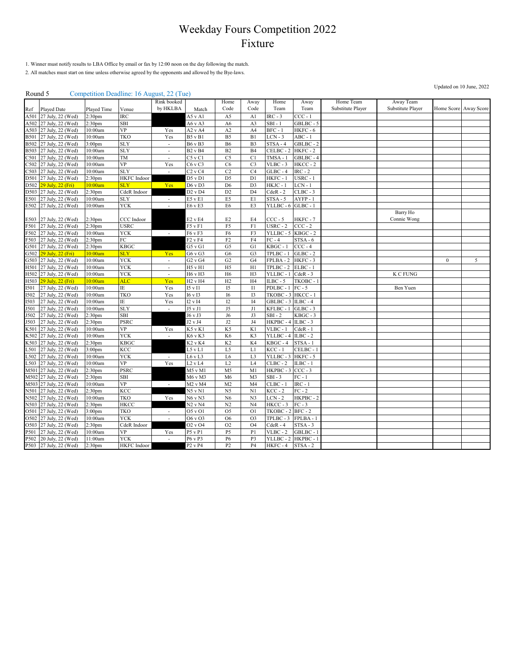1. Winner must notify results to LBA Office by email or fax by 12:00 noon on the day following the match.

2. All matches must start on time unless otherwise agreed by the opponents and allowed by the Bye-laws.

#### Round 5 Competition Deadline: 16 August, 22 (Tue)

|              |                                        |                                          |                    | Rink booked              |                                   | Home           | Away                 | Home                    | Away                   | Home Team         | Away Team         |                  |                       |
|--------------|----------------------------------------|------------------------------------------|--------------------|--------------------------|-----------------------------------|----------------|----------------------|-------------------------|------------------------|-------------------|-------------------|------------------|-----------------------|
| Ref          | <b>Played Date</b>                     | Played Time                              | Venue              | by HKLBA                 | Match                             | Code           | Code                 | Team                    | Team                   | Substitute Player | Substitute Player |                  | Home Score Away Score |
| A501         | 27 July, 22 (Wed)                      | 2:30 <sub>pm</sub>                       | <b>IRC</b>         |                          | A5 v A1                           | A5             | A1                   | $IRC - 3$               | $CCC - 1$              |                   |                   |                  |                       |
| A502         | 27 July, 22 (Wed)                      | 2:30 <sub>pm</sub>                       | SBI                |                          | A6 v A3                           | A <sub>6</sub> | A3                   | $SBI - 1$               | GBLBC - 5              |                   |                   |                  |                       |
| A503         | 27 July, 22 (Wed)                      | 10:00am                                  | $\overline{VP}$    | Yes                      | A2vA4                             | A2             | A4                   | $BFC - 1$               | HKFC-6                 |                   |                   |                  |                       |
| <b>B501</b>  | 27 July, 22 (Wed)                      | 10:00am                                  | TKO                | Yes                      | <b>B5</b> v <b>B1</b>             | B <sub>5</sub> | B1                   | $LCN - 3$               | $ABC - 1$              |                   |                   |                  |                       |
| <b>B502</b>  | 27 July, 22 (Wed)                      | 3:00 <sub>pm</sub>                       | <b>SLY</b>         | $\sim$                   | <b>B6</b> v B3                    | B6             | B <sub>3</sub>       | $STSA - 4$              | GBLBC-2                |                   |                   |                  |                       |
| <b>B503</b>  | 27 July, 22 (Wed)                      | 10:00am                                  | <b>SLY</b>         | $\overline{\phantom{a}}$ | <b>B2</b> v B4                    | B2             | B4                   | CELBC-2                 | HKFC-2                 |                   |                   |                  |                       |
| C501         | 27 July, 22 (Wed)                      | 10:00am                                  | TM                 | $\overline{\phantom{a}}$ | $C5$ v $C1$                       | C <sub>5</sub> | C1                   | TMSA-1                  | GBLBC-4                |                   |                   |                  |                       |
| 2502         | 27 July, 22 (Wed)                      | 10:00am                                  | VP                 | Yes                      | C6vC3                             | C <sub>6</sub> | C <sub>3</sub>       | $VLBC - 3$              | HKCC-2                 |                   |                   |                  |                       |
| 2503         | 27 July, 22 (Wed)                      | 10:00am                                  | <b>SLY</b>         | $\sim$                   | $C2$ v $C4$                       | C2             | C4                   | $GLBC - 4$              | $IRC - 2$              |                   |                   |                  |                       |
| D501         | 27 July, 22 (Wed)                      | 2:30 <sub>pm</sub>                       | <b>HKFC</b> Indoor |                          | D5 v D1                           | D <sub>5</sub> | D1                   | HKFC-1                  | USRC - 1               |                   |                   |                  |                       |
| D502         | 29 July, 22 (Fri)                      | 10:00am                                  | <b>SLY</b>         | Yes                      | D6 v D3                           | D <sub>6</sub> | D <sub>3</sub>       | HKJC-1                  | $LCN - 1$              |                   |                   |                  |                       |
| D503         | 27 July, 22 (Wed)                      | 2:30 <sub>pm</sub>                       | CdeR Indoor        |                          | $D2$ v $D4$                       | D <sub>2</sub> | D <sub>4</sub>       | $CdeR - 2$              | $CLBC - 3$             |                   |                   |                  |                       |
| E501         | 27 July, 22 (Wed)                      | 10:00am                                  | <b>SLY</b>         | $\overline{\phantom{a}}$ | E5 v E1                           | E <sub>5</sub> | E1                   | $STSA - 5$              | $AYFP - 1$             |                   |                   |                  |                       |
| E502         | 27 July, 22 (Wed)                      | 10:00am                                  | YCK                |                          | E6 v E3                           | E <sub>6</sub> | E3                   | YLLBC - 6               | $GLBC - 1$             |                   |                   |                  |                       |
|              |                                        |                                          |                    |                          |                                   |                |                      |                         |                        |                   | Barry Ho          |                  |                       |
| E503         | 27 July, 22 (Wed)                      | 2:30 <sub>pm</sub>                       | CCC Indoor         |                          | E2 v E4                           | $\rm E2$       | E4                   | $CCC - 5$               | HKFC-7                 |                   | Connie Wong       |                  |                       |
| F501         | 27 July, 22 (Wed)                      | 2:30 <sub>pm</sub>                       | <b>USRC</b>        |                          | F5vF1                             | F <sub>5</sub> | F1                   | $USRC - 2$              | $CCC - 2$              |                   |                   |                  |                       |
| F502         | 27 July, 22 (Wed)                      | 10:00am                                  | <b>YCK</b>         | $\overline{\phantom{a}}$ | F6 v F3                           | F6             | F <sub>3</sub>       | YLLBC - 5               | $KBGC - 2$             |                   |                   |                  |                       |
| F503         | 27 July, 22 (Wed)                      | 2:30 <sub>pm</sub>                       | FC                 |                          | F <sub>2</sub> v F <sub>4</sub>   | F2             | F4                   | $FC - 4$                | $STSA - 6$             |                   |                   |                  |                       |
| G501         | 27 July, 22 (Wed)                      | 2:30 <sub>pm</sub>                       | KBGC               |                          | G5vG1                             | G <sub>5</sub> | G <sub>1</sub>       | $KBGC - 1$              | $CCC - 4$              |                   |                   |                  |                       |
| G502         | 29 July, 22 (Fri)                      | 10:00am                                  | SLY                | Yes                      | G6 v G3                           | G <sub>6</sub> | G <sub>3</sub>       | TPLBC - 1               | $GLBC - 2$             |                   |                   |                  |                       |
| G503         | 27 July, 22 (Wed)                      | 10:00am                                  | <b>YCK</b>         | $\overline{\phantom{a}}$ | G2vG4                             | G2             | G4                   | $\overline{FPLBA} - 2$  | HKFC-3                 |                   |                   | $\boldsymbol{0}$ | 5                     |
| H501         | 27 July, 22 (Wed)                      | 10:00am                                  | YCK                | $\overline{\phantom{a}}$ | H5 v H1                           | H <sub>5</sub> | H1                   | TPLBC - 2               | $ELBC - 1$             |                   |                   |                  |                       |
| H502         | 27 July, 22 (Wed)                      | 10:00am                                  | <b>YCK</b>         | $\mathcal{L}$            | H6 v H3                           | H6             | H3                   | YLLBC-1                 | $CdeR - 3$             |                   | K C FUNG          |                  |                       |
| H503         | 29 July, 22 (Fri)                      | 10:00am                                  | <b>ALC</b>         | Yes                      | $H2$ v $H4$                       | H2             | H <sub>4</sub>       | $ILBC - 5$              | TKOBC -                |                   |                   |                  |                       |
| <b>I501</b>  | 27 July, 22 (Wed)                      | 10:00am                                  | ΙE                 | Yes                      | $I5$ v $I1$                       | I5             | $_{\rm II}$          | PDLBC-1                 | $FC - 5$               |                   | Ben Yuen          |                  |                       |
| <b>I502</b>  | 27 July, 22 (Wed)                      | 10:00am                                  | TKO                | Yes                      | I6 v I3                           | I6             | I3                   | TKOBC - 3               | HKCC-1                 |                   |                   |                  |                       |
| <b>I503</b>  | 27 July, 22 (Wed)                      | 10:00am                                  | ΙE                 | Yes                      | I2 vI4                            | I2             | I4                   | $GBLBC - 3$             | $ILBC - 4$             |                   |                   |                  |                       |
| J501         | 27 July, 22 (Wed)                      | 10:00am                                  | <b>SLY</b>         | $\overline{a}$           | J5 v J1                           | J5             | $_{\rm J1}$          | KFLBC - 1               | $GLBC - 3$             |                   |                   |                  |                       |
| J502         | 27 July, 22 (Wed)                      | 2:30 <sub>pm</sub>                       | SBI                |                          | J6 v J3                           | J6             | J3                   | $SBI - 2$               | KBGC - 3               |                   |                   |                  |                       |
| J503         | 27 July, 22 (Wed)                      | 2:30 <sub>pm</sub>                       | PSRC               |                          | $J2$ v $J4$                       | J2             | J4                   | HKPBC-4                 | $ILBC - 3$             |                   |                   |                  |                       |
| K501         | 27 July, 22 (Wed)                      | 10:00am                                  | VP                 | Yes                      | $K5$ v $K1$                       | K <sub>5</sub> | K1                   | $VLBC - 1$              | $CdeR - 1$             |                   |                   |                  |                       |
| K502         | 27 July, 22 (Wed)                      | 10:00am                                  | YCK                | $\sim$                   | K6 v K3                           | K <sub>6</sub> | K3                   | YLLBC-4                 | $ILBC - 2$             |                   |                   |                  |                       |
| K503         | 27 July, 22 (Wed)<br>27 July, 22 (Wed) | 2:30 <sub>pm</sub>                       | <b>KBGC</b>        |                          | <b>K2</b> v K4                    | K2             | K4                   | KBGC-4<br>$KCC - 1$     | $STSA - 1$             |                   |                   |                  |                       |
| .501         |                                        | 3:00 <sub>pm</sub>                       | KCC<br>YCK         |                          | $L5$ v $L1$                       | L5<br>L6       | L1<br>L <sub>3</sub> |                         | CELBC-1                |                   |                   |                  |                       |
| L502         | 27 July, 22 (Wed)<br>27 July, 22 (Wed) | 10:00am<br>10:00am                       | VP                 | $\sim$<br>Yes            | L6vL3<br>L2vL4                    | L2             | L4                   | YLLBC - 3<br>$CLBC - 2$ | HKFC - 5<br>$ILBC - 1$ |                   |                   |                  |                       |
| .503         | 27 July, 22 (Wed)                      |                                          | PSRC               |                          | $M5$ v $M1$                       | M <sub>5</sub> | M1                   | HKPBC - 3               | $CCC - 3$              |                   |                   |                  |                       |
| M501<br>M502 | 27 July, 22 (Wed)                      | 2:30 <sub>pm</sub><br>2:30 <sub>pm</sub> | SBI                |                          | $M6$ v $M3$                       | M6             | M <sub>3</sub>       | $SBI - 3$               | $FC - 1$               |                   |                   |                  |                       |
| M503         | 27 July, 22 (Wed)                      | 10:00am                                  | VP                 | $\overline{\phantom{a}}$ | M2 v M4                           | M <sub>2</sub> | M4                   | $CLBC - 1$              | $IRC - 1$              |                   |                   |                  |                       |
| N501         | 27 July, 22 (Wed)                      | 2:30 <sub>pm</sub>                       | KCC                |                          | $\overline{N5}$ v $\overline{N1}$ | N <sub>5</sub> | N1                   | $KCC - 2$               | $FC - 2$               |                   |                   |                  |                       |
|              | 27 July, 22 (Wed)                      | 10:00am                                  | TKO                | Yes                      | $\overline{N6}$ v $N3$            | N6             | N <sub>3</sub>       | $LCN - 2$               | HKPBC-2                |                   |                   |                  |                       |
| N502<br>N503 | 27 July, 22 (Wed)                      | 2:30 <sub>pm</sub>                       | <b>HKCC</b>        |                          | $N2$ v $N4$                       | N2             | N <sub>4</sub>       | $HKCC - 3$              | $FC - 3$               |                   |                   |                  |                       |
| O501         | 27 July, 22 (Wed)                      | 3:00 <sub>pm</sub>                       | <b>TKO</b>         | $\overline{\phantom{a}}$ | 05 v 01                           | O <sub>5</sub> | O <sub>1</sub>       | TKOBC - 2               | $BFC - 2$              |                   |                   |                  |                       |
| O502         | 27 July, 22 (Wed)                      | 10:00am                                  | YCK                | $\overline{\phantom{a}}$ | O6 v O3                           | O6             | O <sub>3</sub>       | TPLBC - 3               | FPLBA-1                |                   |                   |                  |                       |
| O503         | 27 July, 22 (Wed)                      | 2:30 <sub>pm</sub>                       | CdeR Indoor        |                          | O <sub>2</sub> v <sub>O4</sub>    | O <sub>2</sub> | O <sub>4</sub>       | $CdeR - 4$              | $STSA - 3$             |                   |                   |                  |                       |
| P501         | 27 July, 22 (Wed)                      | 10:00am                                  | VP                 | Yes                      | P5 v P1                           | P <sub>5</sub> | P <sub>1</sub>       | $VLBC - 2$              | GBLBC-1                |                   |                   |                  |                       |
| P502         | 20 July, 22 (Wed)                      | 11:00am                                  | YCK                | $\overline{\phantom{a}}$ | P6 v P3                           | P6             | P3                   | YLLBC - 2               | HKPBC-1                |                   |                   |                  |                       |
|              | P503 27 July, 22 (Wed)                 | 2:30 <sub>pm</sub>                       | HKFC Indoor        |                          | P <sub>2</sub> v <sub>P4</sub>    | P <sub>2</sub> | P4                   | HKFC-4                  | STSA-2                 |                   |                   |                  |                       |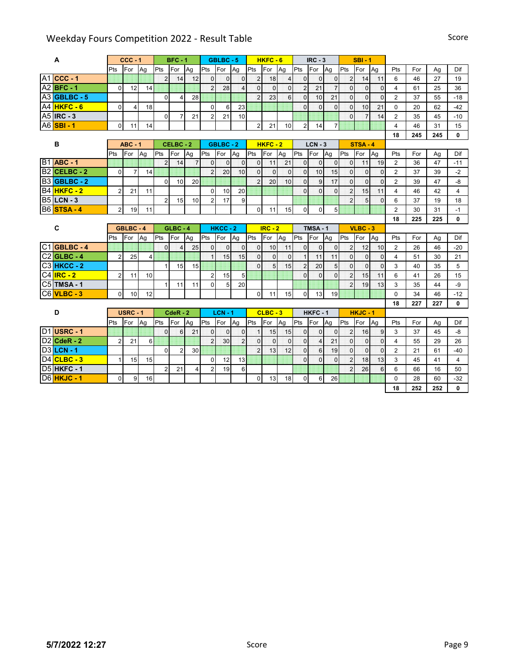|                | A                        |                | $CCC - 1$               |    |                | $BFC - 1$      |                |                | GBLBC-5        |                |                | $HKFC - 6$      |                |                | $IRC - 3$      |                |                | $SBI - 1$       |              |                |           |           |              |
|----------------|--------------------------|----------------|-------------------------|----|----------------|----------------|----------------|----------------|----------------|----------------|----------------|-----------------|----------------|----------------|----------------|----------------|----------------|-----------------|--------------|----------------|-----------|-----------|--------------|
|                |                          | Pts            | For                     | Ag | Pts            | For            | Ag             | Pts            | For            | Ag             | <b>IPts</b>    | For             | Ag             | Pts            | For            | Ag             | Pts            | For             | Ag           | Pts            | For       | Ag        | Dif          |
|                | $A1$ CCC - 1             |                |                         |    | $\overline{2}$ | 14             | 12             | $\overline{0}$ | $\overline{0}$ | $\Omega$       | $\overline{2}$ | 18              | $\overline{4}$ | $\overline{0}$ | $\Omega$       | $\mathbf 0$    | $\overline{2}$ | 14              | 11           | 6              | 46        | 27        | 19           |
|                | A2 <b>BFC - 1</b>        | $\Omega$       | 12                      | 14 |                |                |                | $\overline{2}$ | 28             | $\overline{4}$ | $\mathbf{0}$   | $\overline{0}$  | $\mathbf 0$    | $\overline{2}$ | 21             | $\overline{7}$ | $\overline{0}$ | $\mathbf{0}$    | $\mathbf{0}$ | 4              | 61        | 25        | 36           |
|                | A3 GBLBC - 5             |                |                         |    | $\Omega$       | 4              | 28             |                |                |                | $\overline{2}$ | 23              | 6              | $\Omega$       | 10             | 21             | $\Omega$       | $\overline{0}$  | $\mathbf{0}$ | $\overline{2}$ | 37        | 55        | $-18$        |
|                | A4 HKFC - 6              | $\mathbf{0}$   | $\overline{\mathbf{4}}$ | 18 |                |                |                | $\Omega$       | 6              | 23             |                |                 |                | $\Omega$       | $\Omega$       | $\overline{0}$ | $\overline{0}$ | 10              | 21           | $\Omega$       | 20        | 62        | $-42$        |
|                | A5 IRC - 3               |                |                         |    | $\mathbf{0}$   | $\overline{7}$ | 21             | $\overline{2}$ | 21             | 10             |                |                 |                |                |                |                | $\Omega$       |                 | 14           | $\overline{2}$ | 35        | 45        | $-10$        |
|                | <b>A6 SBI - 1</b>        | 0              | 11                      | 14 |                |                |                |                |                |                | $\overline{2}$ | 21              | 10             | $\overline{2}$ | 14             | $\overline{7}$ |                |                 |              | 4              | 46        | 31        | 15           |
|                |                          |                |                         |    |                |                |                |                |                |                |                |                 |                |                |                |                |                |                 |              | 18             | 245       | 245       | 0            |
|                | В                        |                | $ABC - 1$               |    |                | CELBC-2        |                |                | GBLBC-2        |                |                | $HKFC - 2$      |                |                | $LCN - 3$      |                |                | <b>STSA - 4</b> |              |                |           |           |              |
|                |                          | Pts            | For                     | Ag | Pts            | For            | Ag             | Pts            | For            | Ag             | Pts            | For             | Ag             | Pts            | For            | Ag             | Pts            | For             | Ag           | Pts            | For       | Ag        | Dif          |
|                | <b>B1</b> ABC - 1        |                |                         |    | $\overline{2}$ | 14             | $\overline{7}$ | $\Omega$       | $\overline{0}$ | $\overline{0}$ | $\mathbf{0}$   | 11              | 21             | $\overline{0}$ | $\overline{0}$ | $\mathbf{0}$   | $\overline{0}$ | 11              | 19           | $\overline{2}$ | 36        | 47        | $-11$        |
| B <sub>2</sub> | CELBC-2                  | $\Omega$       | $\overline{7}$          | 14 |                |                |                | $\overline{2}$ | 20             | 10             | $\mathbf{0}$   | $\overline{0}$  | $\mathbf 0$    | $\overline{0}$ | 10             | 15             | $\overline{0}$ | $\mathbf{0}$    | $\Omega$     | $\overline{2}$ | 37        | 39        | $-2$         |
|                | B <sub>3</sub> GBLBC - 2 |                |                         |    | 0              | 10             | 20             |                |                |                | $\overline{2}$ | 20 <sup>1</sup> | 10             | $\overline{0}$ | $\overline{9}$ | 17             | $\overline{0}$ | $\overline{0}$  | $\Omega$     | $\overline{2}$ | 39        | 47        | -8           |
|                | B4 HKFC - 2              | $\overline{2}$ | 21                      | 11 |                |                |                | $\mathbf{0}$   | 10             | 20             |                |                 |                | $\Omega$       | $\Omega$       | $\Omega$       | $\overline{2}$ | 15              | 11           | $\overline{4}$ | 46        | 42        | 4            |
|                | <b>B5 LCN - 3</b>        |                |                         |    | $\overline{2}$ | 15             | 10             | $\overline{2}$ | 17             | 9              |                |                 |                |                |                |                | $\overline{2}$ | 5               | $\Omega$     | 6              | 37        | 19        | 18           |
|                | <b>B6</b> STSA - 4       | $\overline{2}$ | 19                      | 11 |                |                |                |                |                |                | $\mathbf{0}$   | 11              | 15             | $\overline{0}$ | $\overline{0}$ | 5              |                |                 |              | $\overline{2}$ | 30        | 31        | $-1$         |
|                |                          |                |                         |    |                |                |                |                |                |                |                |                 |                |                |                |                |                |                 |              | 18             | 225       | 225       | $\mathbf{0}$ |
|                | C                        |                | GBLBC-4                 |    |                | $GLBC - 4$     |                |                | $HKCC - 2$     |                |                | $IRC - 2$       |                |                | <b>TMSA-1</b>  |                |                | $VLBC - 3$      |              |                |           |           |              |
|                |                          |                |                         |    |                |                |                |                |                |                |                |                 |                |                |                |                |                |                 |              |                |           |           |              |
|                |                          | Pts            | For                     | Aq | Pts            | For            | Ag             | Pts            | <b>IFor</b>    | Ag             | Pts            | For             | Ag             | Pts            | For            | Ag             | Pts            | For             | Ag           | Pts            | For       | Ag        | Dif          |
|                | $C1$ GBLBC - 4           |                |                         |    | $\Omega$       | $\overline{4}$ | 25             | $\overline{0}$ | $\overline{0}$ | $\Omega$       | $\mathbf{0}$   | 10              | 11             | $\overline{0}$ | $\overline{0}$ | $\mathbf 0$    | $\overline{2}$ | 12              | 10           | 2              | 26        | 46        | $-20$        |
|                | $C2$ GLBC - 4            | $\overline{2}$ | 25                      | 4  |                |                |                | 1              | 15             | 15             | $\mathbf{0}$   | $\Omega$        | $\overline{0}$ | $\vert$        | 11             | 11             | $\overline{0}$ | $\overline{0}$  | $\mathbf{0}$ | $\overline{4}$ | 51        | 30        | 21           |
|                | C <sub>3</sub> HKCC - 2  |                |                         |    | $\mathbf{1}$   | 15             | 15             |                |                |                | $\Omega$       | $\overline{5}$  | 15             | $\overline{2}$ | 20             | 5              | $\overline{0}$ | $\overline{0}$  | $\Omega$     | 3              | 40        | 35        | 5            |
|                | <b>C4 IRC - 2</b>        | $\overline{2}$ | 11                      | 10 |                |                |                | $\overline{2}$ | 15             | 5              |                |                 |                | $\Omega$       | $\Omega$       | $\Omega$       | $\overline{2}$ | 15              | 11           | 6              | 41        | 26        | 15           |
|                | $C5$ TMSA-1              |                |                         |    | $\mathbf{1}$   | 11             | 11             | $\Omega$       | 5              | 20             |                |                 |                |                |                |                | $\overline{2}$ | 19              | 13           | 3              | 35        | 44        | -9           |
|                | <b>C6 VLBC - 3</b>       | $\Omega$       | 10                      | 12 |                |                |                |                |                |                | $\Omega$       | 11              | 15             | $\Omega$       | 13             | 19             |                |                 |              | $\Omega$       | 34        | 46        | $-12$        |
|                |                          |                |                         |    |                |                |                |                |                |                |                |                 |                |                |                |                |                |                 |              | 18             | 227       | 227       | 0            |
|                | D                        |                | <b>USRC - 1</b>         |    |                | $CdeR - 2$     |                |                | $LCN - 1$      |                |                | $CLBC - 3$      |                |                | HKFC-1         |                |                | $HKJC - 1$      |              |                |           |           |              |
|                |                          | Pts            | For                     | Ag | Pts            | For            | Ag             | Pts            | For            | Ag             | Pts            | For             | Ag             | Pts            | For            | Ag             | Pts            | For             | Ag           | Pts            | For       | Ag        | Dif          |
|                | <b>D1</b> USRC - 1       |                |                         |    | $\Omega$       | 6              | 21             | $\Omega$       | $\Omega$       | $\overline{0}$ |                | 15              | 15             | $\overline{0}$ | $\Omega$       | $\overline{0}$ | $\overline{2}$ | 16              | 9            | 3              | 37        | 45        | -8           |
|                | D <sub>2</sub> CdeR - 2  | $\overline{2}$ | 21                      | 6  |                |                |                | $\overline{2}$ | 30             | $\overline{2}$ | $\mathbf{0}$   | $\Omega$        | $\mathbf 0$    | $\Omega$       | $\vert$ 4      | 21             | $\Omega$       | $\Omega$        | $\mathbf{0}$ | $\overline{4}$ | 55        | 29        | 26           |
|                | <b>D3</b> LCN - 1        |                |                         |    | $\Omega$       | $\overline{2}$ | 30             |                |                |                | $\overline{2}$ | 13              | 12             | $\overline{0}$ | $6 \mid$       | 19             | $\overline{0}$ | $\Omega$        | $\Omega$     | $\overline{2}$ | 21        | 61        | $-40$        |
|                | D4 CLBC - 3              | 1              | 15                      | 15 |                |                |                | $\Omega$       | 12             | 13             |                |                 |                | $\Omega$       | $\Omega$       | $\mathbf 0$    | $\overline{2}$ | 18              | 13           | 3              | 45        | 41        | 4            |
|                | <b>D5 HKFC - 1</b>       |                |                         |    | 2              | 21             | 4              | 2              | 19             | 6              |                |                 |                |                |                |                | $\overline{2}$ | 26              | 6            | 6              | 66        | 16        | 50           |
|                | <b>D6</b> HKJC - 1       | $\overline{0}$ | 9                       | 16 |                |                |                |                |                |                | $\mathbf 0$    | 13              | 18             | $\overline{0}$ | 6              | 26             |                |                 |              | 0<br>18        | 28<br>252 | 60<br>252 | $-32$<br>0   |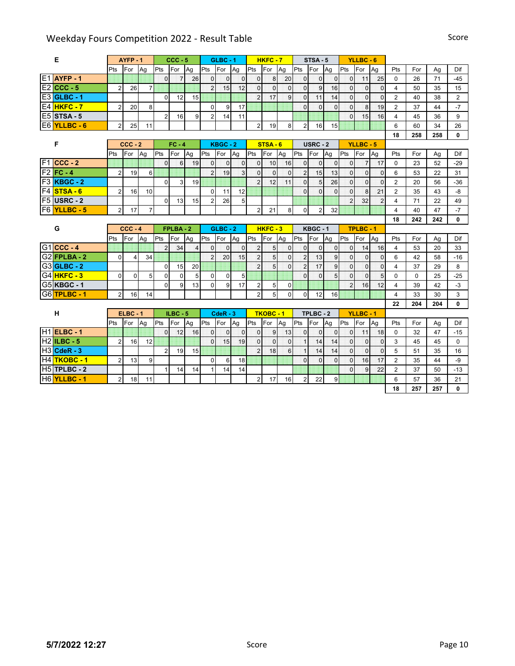| Е                     |                | AYFP-1         |                |                | $CCC - 5$      |                |                | $GLBC - 1$     |              |                | $HKFC - 7$     |                |                | STSA-5         |                |                | YLLBC-6        |                |                |          |     |                |
|-----------------------|----------------|----------------|----------------|----------------|----------------|----------------|----------------|----------------|--------------|----------------|----------------|----------------|----------------|----------------|----------------|----------------|----------------|----------------|----------------|----------|-----|----------------|
|                       | Pts            | For            | Ag             | Pts            | For            | Ag             | Pts            | For            | Ag           | <b>Pts</b>     | For            | Ag             | Pts            | For            | Ag             | Pts            | For            | Ag             | Pts            | For      | Ag  | Dif            |
| $E1$ AYFP - 1         |                |                |                | $\Omega$       | $\overline{7}$ | 26             | $\overline{0}$ | $\mathbf 0$    | $\mathbf 0$  | $\overline{0}$ | 8              | 20             | $\mathbf{0}$   | $\mathbf{0}$   | $\overline{0}$ | $\Omega$       | 11             | 25             | $\Omega$       | 26       | 71  | $-45$          |
| $E2$ CCC - 5          | $\overline{2}$ | 26             | $\overline{7}$ |                |                |                | $\overline{2}$ | 15             | 12           | $\overline{0}$ | $\Omega$       | $\mathbf{0}$   | $\mathbf{0}$   | $\mathbf{g}$   | 16             | $\overline{0}$ | $\Omega$       | $\Omega$       | $\overline{4}$ | 50       | 35  | 15             |
| <b>E3</b> GLBC - 1    |                |                |                | $\Omega$       | 12             | 15             |                |                |              | $\overline{2}$ | 17             | 9              | $\Omega$       | 11             | 14             | $\overline{0}$ | $\mathbf{0}$   | $\overline{0}$ | $\overline{2}$ | 40       | 38  | $\overline{2}$ |
| <b>E4 HKFC - 7</b>    | $\overline{2}$ | 20             | 8              |                |                |                | $\mathbf 0$    | 9              | 17           |                |                |                | $\Omega$       | $\Omega$       | $\Omega$       | $\Omega$       | 8              | 19             | $\overline{2}$ | 37       | 44  | $-7$           |
| <b>E5</b> STSA - 5    |                |                |                | $\overline{2}$ | 16             | 9              | $\overline{2}$ | 14             | 11           |                |                |                |                |                |                | $\mathbf{0}$   | 15             | 16             | $\overline{4}$ | 45       | 36  | 9              |
| E6 YLLBC - 6          | $\overline{2}$ | 25             | 11             |                |                |                |                |                |              | $\overline{2}$ | 19             | 8              | $\overline{2}$ | 16             | 15             |                |                |                | 6              | 60       | 34  | 26             |
|                       |                |                |                |                |                |                |                |                |              |                |                |                |                |                |                |                |                |                | 18             | 258      | 258 | 0              |
| F                     |                | $CCC - 2$      |                |                | $FC - 4$       |                |                | KBGC-2         |              |                | STSA-6         |                |                | USRC-2         |                |                | YLLBC-5        |                |                |          |     |                |
|                       | Pts            | For            | Ag             | Pts            | For            | Ag             | Pts            | For            | Aq           | Pts            | For            | Ag             | Pts            | For            | Ag             | Pts            | For            | Ag             | Pts            | For      | Ag  | Dif            |
| $F1$ CCC - 2          |                |                |                | $\Omega$       | $6\phantom{1}$ | 19             | $\mathbf 0$    | $\overline{0}$ | $\mathbf 0$  | $\overline{0}$ | 10             | 16             | $\mathbf{0}$   | $\mathbf{0}$   | $\mathbf 0$    | $\overline{0}$ | $\overline{7}$ | 17             | $\Omega$       | 23       | 52  | $-29$          |
| $F2$ FC - 4           | $\overline{2}$ | 19             | 6              |                |                |                | $\overline{2}$ | 19             | 3            | $\overline{0}$ | $\overline{0}$ | $\mathbf 0$    | $\overline{2}$ | 15             | 13             | $\Omega$       | $\mathbf{0}$   | $\mathbf{0}$   | 6              | 53       | 22  | 31             |
| <b>F3 KBGC - 2</b>    |                |                |                | $\Omega$       | 3              | 19             |                |                |              | $\overline{2}$ | 12             | 11             | $\overline{0}$ | 5 <sub>l</sub> | 26             | $\overline{0}$ | $\overline{0}$ | $\overline{0}$ | $\overline{2}$ | 20       | 56  | $-36$          |
| F4 STSA - 6           | $\overline{2}$ | 16             | 10             |                |                |                | $\mathbf 0$    | 11             | 12           |                |                |                | $\mathbf{0}$   | $\Omega$       | $\Omega$       | $\mathbf{0}$   | 8              | 21             | $\overline{2}$ | 35       | 43  | $-8$           |
| <b>F5 USRC - 2</b>    |                |                |                | $\Omega$       | 13             | 15             | $\overline{2}$ | 26             | 5            |                |                |                |                |                |                | $\overline{c}$ | 32             | $\overline{2}$ | 4              | 71       | 22  | 49             |
| F6 YLLBC - 5          | 2 <sub>1</sub> | 17             | $\overline{7}$ |                |                |                |                |                |              | $\overline{2}$ | 21             | 8              | $\mathbf 0$    | $\overline{2}$ | 32             |                |                |                | 4              | 40       | 47  | $-7$           |
|                       |                |                |                |                |                |                |                |                |              |                |                |                |                |                |                |                |                |                | 18             | 242      | 242 | 0              |
| G                     |                | $CCC - 4$      |                |                | FPLBA-2        |                |                | $GLBC - 2$     |              |                | HKFC-3         |                |                | KBGC-1         |                |                | <b>TPLBC-1</b> |                |                |          |     |                |
|                       |                |                |                |                |                |                |                |                |              |                |                |                |                |                |                |                |                |                |                |          |     |                |
|                       | Pts            | For            | Ag             | Pts            | For            | Ag             | <b>I</b> Pts   | For            | Ag           | Pts            | For            | Ag             | Pts            | For            | Ag             | Pts            | For            | Ag             | Pts            | For      | Ag  | Dif            |
| $G1$ CCC - 4          |                |                |                | $\overline{2}$ | 34             | $\overline{4}$ | $\Omega$       | $\overline{0}$ | $\mathbf{0}$ | $\overline{2}$ | 5              | $\overline{0}$ | $\mathbf{0}$   | $\Omega$       | $\mathbf 0$    | $\mathbf{0}$   | 14             | 16             | 4              | 53       | 20  | 33             |
| $G2$ FPLBA - 2        | $\Omega$       | $\overline{4}$ | 34             |                |                |                | $\overline{2}$ | 20             | 15           | $\overline{2}$ | 5 <sup>1</sup> | $\overline{0}$ | $\overline{2}$ | 13             | 9              | $\Omega$       | $\mathbf 0$    | $\mathbf 0$    | 6              | 42       | 58  | $-16$          |
| $G3$ GLBC - 2         |                |                |                | $\mathbf 0$    | 15             | 20             |                |                |              | $\overline{2}$ | 5 <sup>1</sup> | $\Omega$       | $\overline{2}$ | 17             | 9              | $\Omega$       | $\Omega$       | $\overline{0}$ | $\overline{4}$ | 37       | 29  | 8              |
| G4 <sup>HKFC</sup> -3 | $\Omega$       | $\Omega$       | 5              | $\Omega$       | $\Omega$       | 5              | $\mathbf 0$    | $\Omega$       | 5            |                |                |                | $\Omega$       | $\Omega$       | 5              | $\Omega$       | $\Omega$       | 5              | $\Omega$       | $\Omega$ | 25  | $-25$          |
| G5 KBGC - 1           |                |                |                | $\Omega$       | 9              | 13             | $\mathbf 0$    | 9              | 17           | $\overline{2}$ | 5              | $\Omega$       |                |                |                | $\overline{2}$ | 16             | 12             | 4              | 39       | 42  | $-3$           |
| G6TPLBC - 1           | $\overline{2}$ | 16             | 14             |                |                |                |                |                |              | $\overline{a}$ | 5              | $\mathbf{0}$   | $\mathbf{0}$   | 12             | 16             |                |                |                | 4              | 33       | 30  | 3              |
|                       |                |                |                |                |                |                |                |                |              |                |                |                |                |                |                |                |                |                | 22             | 204      | 204 | 0              |
| н                     |                | $ELBC - 1$     |                |                | $ILBC - 5$     |                |                | $CdeR - 3$     |              |                | TKOBC - 1      |                |                | TPLBC-2        |                |                | <b>YLLBC-1</b> |                |                |          |     |                |
|                       | Pts            | For            | Ag             | Pts            | <b>IFor</b>    | Ag             | Pts            | For            | Ag           | Pts            | For            | Ag             | Pts            | For            | Ag             | Pts            | <b>I</b> For   | Ag             | Pts            | For      | Ag  | Dif            |
| $H1$ ELBC - 1         |                |                |                | $\Omega$       | 12             | 16             | $\overline{0}$ | $\mathbf 0$    | $\mathbf{0}$ | $\overline{0}$ | 9              | 13             | $\bf{0}$       | $\Omega$       | $\mathbf 0$    | $\overline{0}$ | 11             | 18             | $\mathbf 0$    | 32       | 47  | $-15$          |
| $H2$ <b>ILBC - 5</b>  | $\overline{2}$ | 16             | 12             |                |                |                | $\overline{0}$ | 15             | 19           | $\overline{0}$ | $\overline{0}$ | $\overline{0}$ | $\mathbf{1}$   | 14             | 14             | $\overline{0}$ | $\mathbf{0}$   | $\mathbf 0$    | 3              | 45       | 45  | $\mathbf 0$    |
| $H3$ CdeR - 3         |                |                |                | $\sqrt{2}$     | 19             | 15             |                |                |              | $\overline{2}$ | 18             | 6              | $\mathbf{1}$   | 14             | 14             | $\overline{0}$ | $\mathbf{0}$   | $\mathbf 0$    | 5              | 51       | 35  | 16             |
| H4 TKOBC - 1          | $\overline{2}$ | 13             | 9              |                |                |                | $\mathbf 0$    | 6              | 18           |                |                |                | $\mathbf{0}$   | $\Omega$       | $\overline{0}$ | $\mathbf{0}$   | 16             | 17             | $\overline{2}$ | 35       | 44  | $-9$           |
| $H5$ TPLBC - 2        |                |                |                | $\mathbf{1}$   | 14             | 14             | 1              | 14             | 14           |                |                |                |                |                |                | $\Omega$       | 9              | 22             | $\overline{2}$ | 37       | 50  | $-13$          |
| H6 YLLBC - 1          | $\overline{2}$ | 18             | 11             |                |                |                |                |                |              | $\overline{2}$ | 17             | 16             | $\overline{2}$ | 22             | 9              |                |                |                | 6              | 57       | 36  | 21             |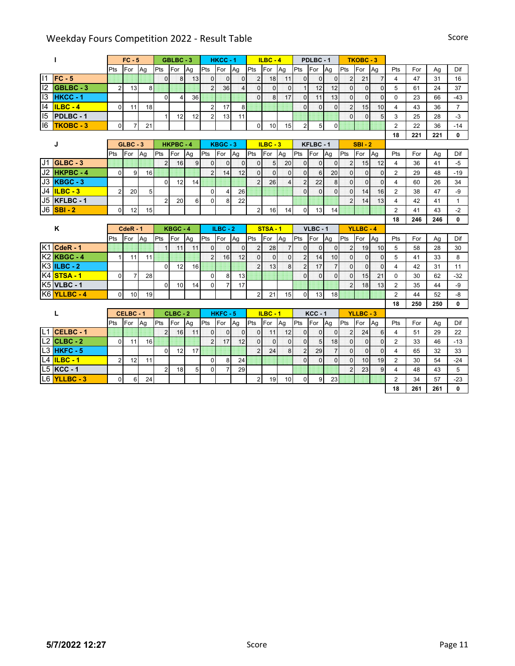|             |                      |                | $FC - 5$       |    |                | GBLBC-3        |    |                | $HKCC - 1$     |                |                | $ILBC - 4$     |                         |                | PDLBC-1        |                |                | <b>TKOBC-3</b> |                |                         |     |     |                |
|-------------|----------------------|----------------|----------------|----|----------------|----------------|----|----------------|----------------|----------------|----------------|----------------|-------------------------|----------------|----------------|----------------|----------------|----------------|----------------|-------------------------|-----|-----|----------------|
|             |                      | Pts            | For            | Ag | Pts            | For            | Ag | Pts For        |                | Ag             | <b>IPts</b>    | <b>IFor</b>    | Ag                      | <b>Pts</b>     | For            | Ag             | Pts            | For            | Ag             | Pts                     | For | Ag  | Dif            |
|             | $11$ FC - 5          |                |                |    | $\Omega$       | 8              | 13 | $\overline{0}$ | $\Omega$       | $\Omega$       | $\overline{2}$ | 18             | 11                      | $\Omega$       | $\Omega$       | $\Omega$       | $\overline{2}$ | 21             | $\overline{7}$ | $\overline{4}$          | 47  | 31  | 16             |
| $ 2\rangle$ | GBLBC-3              | 2              | 13             | 8  |                |                |    | $\overline{2}$ | 36             | $\overline{4}$ | $\Omega$       | $\Omega$       | $\Omega$                | $\mathbf{1}$   | 12             | 12             | $\overline{0}$ | $\Omega$       | $\Omega$       | 5                       | 61  | 24  | 37             |
| 13          | <b>HKCC-1</b>        |                |                |    | $\Omega$       | $\overline{4}$ | 36 |                |                |                | $\Omega$       | $\mathbf{8}$   | 17                      | $\Omega$       | 11             | 13             | $\Omega$       | $\Omega$       | $\Omega$       | $\Omega$                | 23  | 66  | $-43$          |
| 4           | $ILBC - 4$           | $\Omega$       | 11             | 18 |                |                |    | $\overline{2}$ | 17             | 8              |                |                |                         | $\Omega$       | $\Omega$       | $\overline{0}$ | $\overline{2}$ | 15             | 10             | 4                       | 43  | 36  | $\overline{7}$ |
| 15          | <b>PDLBC-1</b>       |                |                |    | 1              | 12             | 12 | $\overline{2}$ | 13             | 11             |                |                |                         |                |                |                | $\Omega$       | $\Omega$       | 5              | 3                       | 25  | 28  | $-3$           |
| 16          | TKOBC - 3            | $\overline{0}$ | $\overline{7}$ | 21 |                |                |    |                |                |                | $\mathbf 0$    | 10             | 15                      | $\overline{2}$ | 5 <sup>1</sup> | $\mathbf 0$    |                |                |                | $\overline{2}$          | 22  | 36  | $-14$          |
|             |                      |                |                |    |                |                |    |                |                |                |                |                |                         |                |                |                |                |                |                | 18                      | 221 | 221 | 0              |
|             | J                    |                | $GLBC - 3$     |    |                | HKPBC-4        |    |                | KBGC-3         |                |                | $ILBC - 3$     |                         |                | KFLBC-1        |                |                | $SBI - 2$      |                |                         |     |     |                |
|             |                      | Pts            | For            | Ag | Pts            | For            | Ag | Pts            | For            | Aq             | Pts            | For            | Ag                      | Pts            | For            | Aq             | Pts            | For            | Ag             | Pts                     | For | Ag  | Dif            |
|             | $J1$ GLBC - 3        |                |                |    | $\overline{2}$ | 16             | 9  | $\mathbf 0$    | $\mathbf{0}$   | $\mathbf 0$    | $\overline{0}$ | 5              | 20                      | $\mathbf 0$    | $\overline{0}$ | 0              | $\overline{2}$ | 15             | 12             | 4                       | 36  | 41  | -5             |
|             | J2 HKPBC - 4         | 0              | 9              | 16 |                |                |    | $\overline{2}$ | 14             | 12             | $\overline{0}$ | $\overline{0}$ | $\overline{0}$          | $\mathbf{0}$   | $6 \mid$       | 20             | $\overline{0}$ | $\mathbf 0$    | $\overline{0}$ | $\overline{2}$          | 29  | 48  | $-19$          |
|             | <b>J3 KBGC - 3</b>   |                |                |    | $\Omega$       | 12             | 14 |                |                |                | $\overline{2}$ | 26             | $\overline{\mathbf{4}}$ | $\overline{2}$ | 22             | 8              | $\overline{0}$ | $\mathbf 0$    | $\mathbf{0}$   | 4                       | 60  | 26  | 34             |
| J4          | $ILBC - 3$           | $\overline{2}$ | 20             | 5  |                |                |    | $\mathbf 0$    | $\overline{4}$ | 26             |                |                |                         | $\mathbf{0}$   | $\Omega$       | $\overline{0}$ | $\mathbf 0$    | 14             | 16             | $\overline{2}$          | 38  | 47  | -9             |
| J5          | <b>KFLBC-1</b>       |                |                |    | 2              | 20             | 6  | $\mathbf 0$    | 8              | 22             |                |                |                         |                |                |                | $\overline{2}$ | 14             | 13             | 4                       | 42  | 41  | $\mathbf{1}$   |
|             | $J6$ SBI - 2         | $\overline{0}$ | 12             | 15 |                |                |    |                |                |                | $\overline{2}$ | 16             | 14                      | $\mathbf 0$    | 13             | 14             |                |                |                | $\overline{2}$          | 41  | 43  | $-2$           |
|             |                      |                |                |    |                |                |    |                |                |                |                |                |                         |                |                |                |                |                |                | 18                      | 246 | 246 | $\mathbf{0}$   |
|             | K                    |                | $CdeR - 1$     |    |                | KBGC-4         |    |                | $ILBC - 2$     |                |                | <b>STSA-1</b>  |                         |                | $VLBC - 1$     |                |                | YLLBC-4        |                |                         |     |     |                |
|             |                      | Pts            | For            | Ag | Pts            | For            | Ag | <b>I</b> Pts   | For            | Ag             | Pts            | For            | Ag                      | Pts            | For            | Ag             | Pts            | For            | Ag             | Pts                     | For | Ag  | Dif            |
|             | $K1$ CdeR - 1        |                |                |    | $\mathbf{1}$   | 11             | 11 | $\Omega$       | $\overline{0}$ | $\Omega$       | $\overline{c}$ | 28             | $\overline{7}$          | $\overline{0}$ | $\Omega$       | $\mathbf 0$    | $\overline{2}$ | 19             | 10             | 5                       | 58  | 28  | 30             |
|             | $K2$ <b>KBGC - 4</b> | $\mathbf{1}$   | 11             | 11 |                |                |    | $\overline{2}$ | 16             | 12             | $\Omega$       | $\overline{0}$ | $\overline{0}$          | $\overline{2}$ | 14             | 10             | $\overline{0}$ | $\Omega$       | $\mathbf 0$    | 5                       | 41  | 33  | 8              |
|             | <b>K3 ILBC - 2</b>   |                |                |    | $\Omega$       | 12             | 16 |                |                |                | $\overline{2}$ | 13             | 8                       | $\overline{2}$ | 17             | $\overline{7}$ | $\Omega$       | $\Omega$       | $\overline{0}$ | 4                       | 42  | 31  | 11             |
|             | <b>K4</b> STSA - 1   | $\Omega$       | $\overline{7}$ | 28 |                |                |    | $\Omega$       | 8              | 13             |                |                |                         | $\Omega$       | $\Omega$       | $\Omega$       | $\Omega$       | 15             | 21             | $\Omega$                | 30  | 62  | $-32$          |
|             | <b>K5 VLBC - 1</b>   |                |                |    | $\Omega$       | 10             | 14 | $\mathbf 0$    | $\overline{7}$ | 17             |                |                |                         |                |                |                | $\overline{2}$ | 18             | 13             | $\overline{2}$          | 35  | 44  | -9             |
|             | K6 YLLBC - 4         | $\Omega$       | 10             | 19 |                |                |    |                |                |                | $\overline{2}$ | 21             | 15                      | $\mathbf 0$    | 13             | 18             |                |                |                | $\overline{2}$          | 44  | 52  | $-8$           |
|             |                      |                |                |    |                |                |    |                |                |                |                |                |                         |                |                |                |                |                |                | 18                      | 250 | 250 | 0              |
|             | L                    |                | CELBC-1        |    |                | $CLBC - 2$     |    |                | <b>HKFC-5</b>  |                |                | $ILBC - 1$     |                         |                | <b>KCC-1</b>   |                |                | <b>YLLBC-3</b> |                |                         |     |     |                |
|             |                      | Pts            | For            | Ag | Pts            | For            | Ag | Pts            | <b>For</b>     | Ag             | Pts            | For            | Ag                      | Pts            | For            | Ag             | Pts            | For            | Ag             | Pts                     | For | Ag  | Dif            |
|             | L1 CELBC - 1         |                |                |    | $\overline{2}$ | 16             | 11 | $\mathbf{0}$   | $\Omega$       | $\overline{0}$ | $\overline{0}$ | 11             | 12                      | $\mathbf{0}$   | $\Omega$       | $\overline{0}$ | $\overline{2}$ | 24             | 6              | $\overline{4}$          | 51  | 29  | 22             |
|             | $L2$ CLBC - 2        | 0              | 11             | 16 |                |                |    | $\overline{c}$ | 17             | 12             | $\Omega$       | $\Omega$       | $\overline{0}$          | $\mathbf{0}$   | 5 <sub>l</sub> | 18             | $\overline{0}$ | $\mathbf{0}$   | $\overline{0}$ | $\overline{2}$          | 33  | 46  | $-13$          |
|             | L3 HKFC - 5          |                |                |    | $\Omega$       | 12             | 17 |                |                |                | $\overline{2}$ | 24             | 8                       | $\overline{2}$ | 29             | $\overline{7}$ | $\overline{0}$ | $\Omega$       | $\mathbf 0$    | $\overline{\mathbf{4}}$ | 65  | 32  | 33             |
|             | L4 ILBC - 1          | $\overline{2}$ | 12             | 11 |                |                |    | $\mathbf 0$    | 8              | 24             |                |                |                         | $\mathbf{0}$   | $\Omega$       | $\overline{0}$ | $\mathbf{0}$   | 10             | 19             | $\overline{2}$          | 30  | 54  | $-24$          |
|             | $L5$ KCC - 1         |                |                |    | 2              | 18             | 5  | 0              | $\overline{7}$ | 29             |                |                |                         |                |                |                | $\overline{2}$ | 23             | 9              | 4                       | 48  | 43  | 5              |
|             | L6 YLLBC - 3         | $\overline{0}$ | 6              | 24 |                |                |    |                |                |                | $\overline{2}$ | 19             | 10                      | $\mathbf 0$    | 9              | 23             |                |                |                | $\overline{2}$          | 34  | 57  | $-23$          |
|             |                      |                |                |    |                |                |    |                |                |                |                |                |                         |                |                |                |                |                |                | 18                      | 261 | 261 | 0              |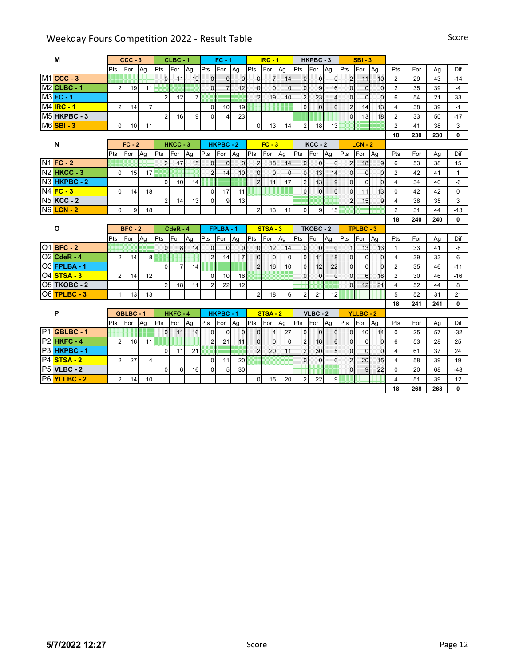| м                        |                | $CCC - 3$ |                |                | $CLBC - 1$     |                |                | $FC - 1$       |                |                | $IRC - 1$      |                |                | HKPBC-3        |                 |                | $SBI - 3$      |              |                |           |           |              |
|--------------------------|----------------|-----------|----------------|----------------|----------------|----------------|----------------|----------------|----------------|----------------|----------------|----------------|----------------|----------------|-----------------|----------------|----------------|--------------|----------------|-----------|-----------|--------------|
|                          | Pts            | For       | Ag             | Pts            | For            | Ag             | Pts            | For            | Ag             | <b>Pts</b>     | <b>IFor</b>    | Ag             | Pts            | <b>IFor</b>    | Ag              | Pts            | For            | Ag           | Pts            | For       | Ag        | Dif          |
| $M1$ CCC - 3             |                |           |                | $\Omega$       | 11             | 19             | $\Omega$       | $\Omega$       | $\Omega$       | $\Omega$       | 7 <sup>1</sup> | 14             | $\overline{0}$ | $\Omega$       | $\overline{0}$  | $\overline{2}$ | 11             | 10           | 2              | 29        | 43        | $-14$        |
| $M2$ CLBC - 1            | $\overline{2}$ | 19        | 11             |                |                |                | $\Omega$       | $\overline{7}$ | 12             | $\Omega$       | $\Omega$       | $\mathbf 0$    | $\overline{0}$ | $\overline{9}$ | 16              | $\overline{0}$ | $\Omega$       | $\mathbf{0}$ | $\overline{2}$ | 35        | 39        | $-4$         |
| $M3$ FC - 1              |                |           |                | $\overline{2}$ | 12             | $\overline{7}$ |                |                |                | $\overline{2}$ | 19             | 10             | $\overline{2}$ | 23             | $\overline{4}$  | $\Omega$       | $\Omega$       | $\mathbf{0}$ | 6              | 54        | 21        | 33           |
| $MAIRC - 1$              | $\overline{2}$ | 14        | $\overline{7}$ |                |                |                | $\mathbf 0$    | 10             | 19             |                |                |                | $\Omega$       | $\Omega$       | $\overline{0}$  | $\overline{2}$ | 14             | 13           | $\overline{4}$ | 38        | 39        | $-1$         |
| M5 HKPBC - 3             |                |           |                | $\overline{2}$ | 16             | 9              | $\mathbf{0}$   | 4              | 23             |                |                |                |                |                |                 | $\Omega$       | 13             | 18           | $\overline{2}$ | 33        | 50        | $-17$        |
| <b>M6</b> SBI - 3        | 0              | 10        | 11             |                |                |                |                |                |                | $\mathbf 0$    | 13             | 14             | $\overline{2}$ | 18             | 13              |                |                |              | $\overline{2}$ | 41        | 38        | 3            |
|                          |                |           |                |                |                |                |                |                |                |                |                |                |                |                |                 |                |                |              | 18             | 230       | 230       | 0            |
| N                        |                | $FC - 2$  |                |                | HKCC-3         |                |                | <b>HKPBC-2</b> |                |                | $FC - 3$       |                |                | $KCC - 2$      |                 |                | $LCN - 2$      |              |                |           |           |              |
|                          | Pts            | For       | Ag             | Pts            | For            | Ag             | Pts            | For            | Ag             | Pts            | For            | Ag             | Pts            | For            | Ag              | Pts            | For            | Ag           | Pts            | For       | Ag        | Dif          |
| <b>N1 FC - 2</b>         |                |           |                | $\overline{2}$ | 17             | 15             | $\Omega$       | $\mathbf{0}$   | $\mathbf 0$    | $\overline{2}$ | 18             | 14             | $\overline{0}$ | $\Omega$       | $\mathbf{0}$    | $\overline{2}$ | 18             | 9            | 6              | 53        | 38        | 15           |
| <b>N2 HKCC - 3</b>       | $\Omega$       | 15        | 17             |                |                |                | $\overline{2}$ | 14             | 10             | $\mathbf{0}$   | $\Omega$       | $\mathbf 0$    | $\overline{0}$ | 13             | 14              | $\overline{0}$ | $\Omega$       | $\Omega$     | $\overline{2}$ | 42        | 41        | $\mathbf{1}$ |
| N3 HKPBC - 2             |                |           |                | $\Omega$       | 10             | 14             |                |                |                | $\overline{2}$ | 11             | 17             | $\overline{2}$ | 13             | 9               | $\overline{0}$ | $\Omega$       | $\mathbf{0}$ | 4              | 34        | 40        | -6           |
| $N4$ $FC - 3$            | $\Omega$       | 14        | 18             |                |                |                | $\Omega$       | 17             | 11             |                |                |                | $\Omega$       | $\Omega$       | $\Omega$        | $\Omega$       | 11             | 13           | $\Omega$       | 42        | 42        | $\Omega$     |
| <b>N5 KCC - 2</b>        |                |           |                | $\overline{2}$ | 14             | 13             | $\Omega$       | 9              | 13             |                |                |                |                |                |                 | $\overline{2}$ | 15             | 9            | 4              | 38        | 35        | 3            |
| <b>N6</b> LCN - 2        | $\overline{0}$ | 9         | 18             |                |                |                |                |                |                | $\overline{2}$ | 13             | 11             | $\overline{0}$ | 9              | 15              |                |                |              | $\overline{2}$ | 31        | 44        | $-13$        |
|                          |                |           |                |                |                |                |                |                |                |                |                |                |                |                |                 |                |                |              | 18             | 240       | 240       | 0            |
|                          |                |           |                |                | $CdeR - 4$     |                |                | FPLBA-1        |                |                | STSA-3         |                |                | TKOBC-2        |                 |                | TPLBC-3        |              |                |           |           |              |
| $\mathbf{o}$             |                | $BFC - 2$ |                |                |                |                |                |                |                |                |                |                |                |                |                 |                |                |              |                |           |           |              |
|                          | Pts            | For       | Aq             | Pts            | For            | Ag             | Pts            | For            | Ag             | Pts            | For            | Ag             | Pts            | For            | Ag              | Pts            | For            | Ag           | Pts            | For       | Ag        | Dif          |
| 01 BFC - 2               |                |           |                | $\Omega$       | 8              | 14             | $\Omega$       | $\overline{0}$ | $\overline{0}$ | $\mathbf{0}$   | 12             | 14             | $\overline{O}$ | $\overline{0}$ | $\mathbf{0}$    | 1              | 13             | 13           | $\mathbf{1}$   | 33        | 41        | $-8$         |
| $O2$ CdeR - 4            | $\overline{2}$ | 14        | 8              |                |                |                | $\overline{2}$ | 14             | $\overline{7}$ | $\mathbf{0}$   | $\overline{0}$ | $\mathbf{0}$   | $\overline{0}$ | 11             | 18              | $\overline{0}$ | $\overline{0}$ | $\mathbf{0}$ | $\overline{4}$ | 39        | 33        | 6            |
| <b>O3 FPLBA - 1</b>      |                |           |                | 0              | $\overline{7}$ | 14             |                |                |                | $\overline{2}$ | 16             | 10             | $\overline{0}$ | 12             | 22              | $\overline{0}$ | $\overline{0}$ | $\mathbf{0}$ | $\overline{2}$ | 35        | 46        | $-11$        |
| 04 STSA - 3              | $\overline{2}$ | 14        | 12             |                |                |                | $\mathbf 0$    | 10             | 16             |                |                |                | $\Omega$       | $\Omega$       | $\overline{0}$  | $\Omega$       | 6              | 18           | $\overline{2}$ | 30        | 46        | $-16$        |
| <b>O5 TKOBC - 2</b>      |                |           |                | $\overline{2}$ | 18             | 11             | $\overline{2}$ | 22             | 12             |                |                |                |                |                |                 | $\Omega$       | 12             | 21           | 4              | 52        | 44        | 8            |
| O6 TPLBC - 3             | 1              | 13        | 13             |                |                |                |                |                |                | $\overline{2}$ | 18             | 6              | $\overline{2}$ | 21             | 12              |                |                |              | 5              | 52        | 31        | 21           |
|                          |                |           |                |                |                |                |                |                |                |                |                |                |                |                |                 |                |                |              | 18             | 241       | 241       | $\mathbf{0}$ |
| P                        |                | GBLBC-1   |                |                | HKFC-4         |                |                | <b>HKPBC-1</b> |                |                | STSA-2         |                |                | $VLBC - 2$     |                 |                | <b>YLLBC-2</b> |              |                |           |           |              |
|                          | Pts            | For       | Ag             | Pts            | For            | Ag             | Pts            | For            | Ag             | Pts            | For            | Ag             | Pts            | For            | Ag              | Pts            | For            | Ag           | Pts            | For       | Ag        | Dif          |
| P1 GBLBC - 1             |                |           |                | $\mathbf{0}$   | 11             | 16             | $\overline{0}$ | $\mathbf 0$    | $\mathbf 0$    | $\mathbf 0$    | $\overline{4}$ | 27             | $\overline{0}$ | $\overline{0}$ | $\mathbf 0$     | $\overline{0}$ | 10             | 14           | $\Omega$       | 25        | 57        | $-32$        |
| P <sub>2</sub> HKFC-4    | $\overline{2}$ | 16        | 11             |                |                |                | $\overline{2}$ | 21             | 11             | $\mathbf{0}$   | $\Omega$       | $\overline{0}$ | $\overline{2}$ | 16             | $6\overline{6}$ | $\overline{0}$ | $\overline{0}$ | $\mathbf 0$  | 6              | 53        | 28        | 25           |
| P <sub>3</sub> HKPBC - 1 |                |           |                | $\mathbf 0$    | 11             | 21             |                |                |                | $\overline{2}$ | 20             | 11             | $\overline{2}$ | 30             | 5               | $\overline{0}$ | $\overline{0}$ | $\mathbf{0}$ | $\overline{4}$ | 61        | 37        | 24           |
| P4 STSA - 2              | $\overline{2}$ | 27        | $\overline{4}$ |                |                |                | $\Omega$       | 11             | 20             |                |                |                | $\Omega$       | $\Omega$       | $\overline{0}$  | $\overline{2}$ | 20             | 15           | $\overline{4}$ | 58        | 39        | 19           |
| <b>P5 VLBC - 2</b>       |                |           |                | $\mathbf 0$    | 6              | 16             | $\Omega$       | 5              | 30             |                |                |                |                |                |                 | $\Omega$       | 9              | 22           | $\mathbf 0$    | 20        | 68        | $-48$        |
| P6 YLLBC - 2             | $\overline{2}$ | 14        | 10             |                |                |                |                |                |                | $\mathbf 0$    | 15             | 20             | $\overline{c}$ | 22             | 9               |                |                |              | 4<br>18        | 51<br>268 | 39<br>268 | 12<br>0      |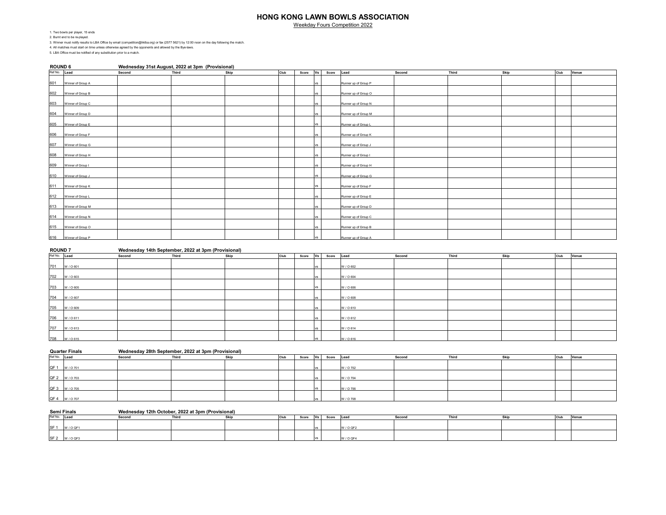Weekday Fours Competition 2022

1. Two bowls per player, 15 ends 2. Burnt end to be re-played.

3. Winner must notify results to LBA Office by email (competition@hklba.org) or fax (2577 5621) by 12:00 noon on the day following the match.

4. All matches must start on time unless otherwise agreed by the opponents and allowed by the Bye-laws.

5. LBA Office must be notified of any substitution prior to a match.

| <b>ROUND 6</b> |                       |        | Wednesday 31st August, 2022 at 3pm (Provisional) |      |      |          |           |            |                      |        |       |      |      |       |
|----------------|-----------------------|--------|--------------------------------------------------|------|------|----------|-----------|------------|----------------------|--------|-------|------|------|-------|
| Ref No. Lead   |                       | Second | Third                                            | Skip | Club | Score Vs |           | Score Lead |                      | Second | Third | Skip | Club | Venue |
| 601            | Winner of Group A     |        |                                                  |      |      |          | vs        |            | Runner up of Group P |        |       |      |      |       |
|                | 602 Winner of Group B |        |                                                  |      |      |          | vs        |            | Runner up of Group O |        |       |      |      |       |
| 603            | Winner of Group C     |        |                                                  |      |      |          | vs        |            | Runner up of Group N |        |       |      |      |       |
| 604            | Winner of Group D     |        |                                                  |      |      |          | vs        |            | Runner up of Group M |        |       |      |      |       |
|                |                       |        |                                                  |      |      |          |           |            |                      |        |       |      |      |       |
|                | 605 Winner of Group E |        |                                                  |      |      |          | vs        |            | Runner up of Group L |        |       |      |      |       |
| 606            | Winner of Group F     |        |                                                  |      |      |          | <b>VS</b> |            | Runner up of Group K |        |       |      |      |       |
| 607            | Winner of Group G     |        |                                                  |      |      |          | vs        |            | Runner up of Group J |        |       |      |      |       |
|                | 608 Winner of Group H |        |                                                  |      |      |          | vs        |            | Runner up of Group I |        |       |      |      |       |
| 609            | Winner of Group I     |        |                                                  |      |      |          | vs        |            | Runner up of Group H |        |       |      |      |       |
| 610            | Winner of Group J     |        |                                                  |      |      |          | vs        |            | Runner up of Group G |        |       |      |      |       |
|                | 611 Winner of Group K |        |                                                  |      |      |          | vs        |            | Runner up of Group F |        |       |      |      |       |
|                | 612 Winner of Group L |        |                                                  |      |      |          | vs        |            | Runner up of Group E |        |       |      |      |       |
|                | 613 Winner of Group M |        |                                                  |      |      |          | <b>VS</b> |            | Runner up of Group D |        |       |      |      |       |
|                | 614 Winner of Group N |        |                                                  |      |      |          | <b>VS</b> |            | Runner up of Group C |        |       |      |      |       |
|                | 615 Winner of Group O |        |                                                  |      |      |          | <b>VS</b> |            | Runner up of Group B |        |       |      |      |       |
| 616            | Winner of Group P     |        |                                                  |      |      |          |           |            | Runner up of Group A |        |       |      |      |       |
|                |                       |        |                                                  |      |      |          |           |            |                      |        |       |      |      |       |

| <b>ROUND 7</b> |            | Wednesday 14th September, 2022 at 3pm (Provisional) |       |      |      |       |      |       |           |        |       |      |      |       |
|----------------|------------|-----------------------------------------------------|-------|------|------|-------|------|-------|-----------|--------|-------|------|------|-------|
| Ref No. Lead   |            | Second                                              | Third | Skip | Club | Score | Vs   | Score | Lead      | Second | Third | Skip | Club | Venue |
| 701            | W / O 601  |                                                     |       |      |      |       | IVS. |       | W / O 602 |        |       |      |      |       |
| 702            | W / O 603  |                                                     |       |      |      |       |      |       | W / O 604 |        |       |      |      |       |
|                | 703 W/O605 |                                                     |       |      |      |       | IVS. |       | W / O 606 |        |       |      |      |       |
|                | 704 W/0607 |                                                     |       |      |      |       |      |       | W / O 608 |        |       |      |      |       |
|                | 705 W/O609 |                                                     |       |      |      |       |      |       | W / O 610 |        |       |      |      |       |
|                | 706 W/0611 |                                                     |       |      |      |       |      |       | W / O 612 |        |       |      |      |       |
| 707            | W / O 613  |                                                     |       |      |      |       |      |       | W / O 614 |        |       |      |      |       |
|                | 708 W/0615 |                                                     |       |      |      |       |      |       | W / O 616 |        |       |      |      |       |

|              | <b>Quarter Finals</b> | Wednesday 28th September, 2022 at 3pm (Provisional) |       |      |      |       |          |             |        |       |             |      |       |
|--------------|-----------------------|-----------------------------------------------------|-------|------|------|-------|----------|-------------|--------|-------|-------------|------|-------|
| Ref No. Lead |                       | Second                                              | Third | Skip | Club | Score | Vs Score | <b>Lead</b> | Second | Third | <b>Skip</b> | Club | Venue |
|              |                       |                                                     |       |      |      |       |          |             |        |       |             |      |       |
|              | QF 1 W / 0 701        |                                                     |       |      |      |       |          | W / O 702   |        |       |             |      |       |
|              |                       |                                                     |       |      |      |       |          |             |        |       |             |      |       |
|              | QF 2 W / 0 703        |                                                     |       |      |      |       |          | W / O 704   |        |       |             |      |       |
|              |                       |                                                     |       |      |      |       |          |             |        |       |             |      |       |
|              | QF 3 W / 0705         |                                                     |       |      |      |       |          | W / O 706   |        |       |             |      |       |
|              |                       |                                                     |       |      |      |       |          |             |        |       |             |      |       |
|              | QF 4 W / 0 707        |                                                     |       |      |      |       |          | W / O 708   |        |       |             |      |       |

#### **Semi Finals Wednesday 12th October, 2022 at 3pm (Provisional)**

| Ref No. Lead    |            | Secon | Skir | Club | Score | l Vel | Score | Lead      | Secon | Skin | Club | Venue |
|-----------------|------------|-------|------|------|-------|-------|-------|-----------|-------|------|------|-------|
|                 |            |       |      |      |       |       |       |           |       |      |      |       |
| SF <sub>1</sub> | W/O QF     |       |      |      |       |       |       | W / O QF2 |       |      |      |       |
|                 |            |       |      |      |       |       |       |           |       |      |      |       |
|                 | SF2 W/OQF3 |       |      |      |       |       |       | W / O QF4 |       |      |      |       |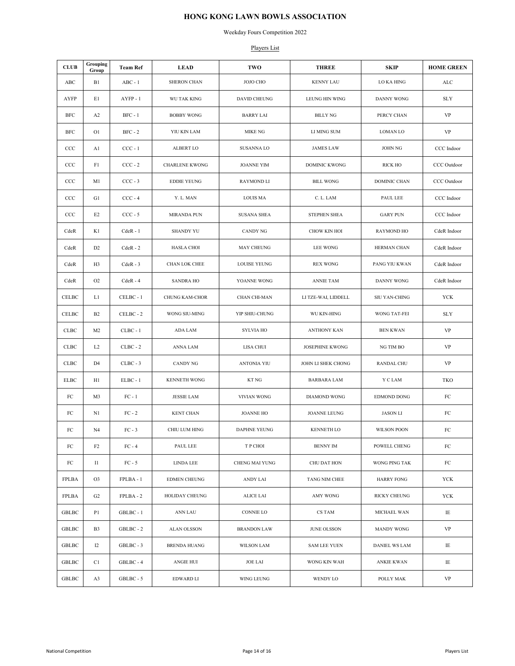Weekday Fours Competition 2022

#### Players List

| <b>CLUB</b>  | Grouping<br>Group | <b>Team Ref</b> | <b>LEAD</b>           | TWO                   | <b>THREE</b>           | <b>SKIP</b>          | <b>HOME GREEN</b> |
|--------------|-------------------|-----------------|-----------------------|-----------------------|------------------------|----------------------|-------------------|
| ABC          | B1                | $ABC - 1$       | <b>SHERON CHAN</b>    | JOJO CHO              | <b>KENNY LAU</b>       | LO KA HING           | $\mathbf{ALC}$    |
| <b>AYFP</b>  | E1                | $AYFP - 1$      | <b>WU TAK KING</b>    | DAVID CHEUNG          | <b>LEUNG HIN WING</b>  | DANNY WONG           | <b>SLY</b>        |
| BFC          | A <sub>2</sub>    | $BFC - 1$       | <b>BOBBY WONG</b>     | <b>BARRY LAI</b>      | <b>BILLY NG</b>        | PERCY CHAN           | VP                |
| BFC          | O <sub>1</sub>    | $BFC - 2$       | YIU KIN LAM           | <b>MIKE NG</b>        | LI MING SUM            | <b>LOMAN LO</b>      | VP                |
| CCC          | A1                | $CCC - 1$       | ALBERT LO             | SUSANNA LO            | <b>JAMES LAW</b>       | <b>JOHN NG</b>       | CCC Indoor        |
| CCC          | F1                | $CCC - 2$       | <b>CHARLENE KWONG</b> | <b>JOANNE YIM</b>     | <b>DOMINIC KWONG</b>   | <b>RICK HO</b>       | CCC Outdoor       |
| CCC          | M1                | $CCC - 3$       | <b>EDDIE YEUNG</b>    | RAYMOND LI            | <b>BILL WONG</b>       | DOMINIC CHAN         | CCC Outdoor       |
| CCC          | G1                | $CCC - 4$       | Y. L. MAN             | <b>LOUIS MA</b>       | C. L. LAM              | PAUL LEE             | CCC Indoor        |
| CCC          | E <sub>2</sub>    | $CCC - 5$       | <b>MIRANDA PUN</b>    | <b>SUSANA SHEA</b>    | <b>STEPHEN SHEA</b>    | <b>GARY PUN</b>      | CCC Indoor        |
| CdeR         | K1                | $CdeR - 1$      | <b>SHANDY YU</b>      | <b>CANDY NG</b>       | CHOW KIN HOI           | RAYMOND HO           | CdeR Indoor       |
| CdeR         | D <sub>2</sub>    | $CdeR - 2$      | <b>HASLA CHOI</b>     | MAY CHEUNG            | <b>LEE WONG</b>        | HERMAN CHAN          | CdeR Indoor       |
| CdeR         | H3                | $CdeR - 3$      | CHAN LOK CHEE         | <b>LOUISE YEUNG</b>   | <b>REX WONG</b>        | PANG YIU KWAN        | CdeR Indoor       |
| CdeR         | O <sub>2</sub>    | $CdeR - 4$      | <b>SANDRA HO</b>      | YOANNE WONG           | <b>ANNIE TAM</b>       | DANNY WONG           | CdeR Indoor       |
| CELBC        | L1                | CELBC - 1       | <b>CHUNG KAM-CHOR</b> | CHAN CHI-MAN          | LI TZE-WAI, LIDDELL    | SIU YAN-CHING        | YCK               |
| CELBC        | <b>B2</b>         | CELBC - 2       | WONG SIU-MING         | YIP SHIU-CHUNG        | <b>WU KIN-HING</b>     | WONG TAT-FEI         | <b>SLY</b>        |
| <b>CLBC</b>  | M <sub>2</sub>    | $CLBC - 1$      | ADA LAM               | <b>SYLVIA HO</b>      | <b>ANTHONY KAN</b>     | <b>BEN KWAN</b>      | VP                |
| <b>CLBC</b>  | L <sub>2</sub>    | $CLBC - 2$      | ANNA LAM              | LISA CHUI             | <b>JOSEPHINE KWONG</b> | NG TIM BO            | VP                |
| CLBC         | D <sub>4</sub>    | $CLBC - 3$      | <b>CANDY NG</b>       | <b>ANTONIA YIU</b>    | JOHN LI SHEK CHONG     | RANDAL CHU           | <b>VP</b>         |
| <b>ELBC</b>  | H1                | $ELBC - 1$      | KENNETH WONG          | <b>KT NG</b>          | <b>BARBARA LAM</b>     | Y C LAM              | TKO               |
| ${\rm FC}$   | M3                | $FC - 1$        | <b>JESSIE LAM</b>     | <b>VIVIAN WONG</b>    | <b>DIAMOND WONG</b>    | EDMOND DONG          | ${\rm FC}$        |
| FC           | N1                | $FC - 2$        | <b>KENT CHAN</b>      | <b>JOANNE HO</b>      | JOANNE LEUNG           | <b>JASON LI</b>      | ${\rm FC}$        |
| ${\rm FC}$   | N4                | $FC - 3$        | CHIU LUM HING         | <b>DAPHNE YEUNG</b>   | <b>KENNETH LO</b>      | <b>WILSON POON</b>   | ${\rm FC}$        |
| ${\rm FC}$   | F <sub>2</sub>    | $FC - 4$        | PAUL LEE              | T P CHOI              | <b>BENNY IM</b>        | POWELL CHENG         | FC                |
| ${\rm FC}$   | <b>I</b> 1        | $FC - 5$        | LINDA LEE             | <b>CHENG MAI YUNG</b> | CHU DAT HON            | WONG PING TAK        | FC                |
| <b>FPLBA</b> | O <sub>3</sub>    | FPLBA - 1       | <b>EDMEN CHEUNG</b>   | <b>ANDY LAI</b>       | TANG NIM CHEE          | <b>HARRY FONG</b>    | YCK               |
| <b>FPLBA</b> | G2                | FPLBA-2         | HOLIDAY CHEUNG        | <b>ALICE LAI</b>      | AMY WONG               | <b>RICKY CHEUNG</b>  | YCK               |
| GBLBC        | P1                | GBLBC - 1       | ANN LAU               | CONNIE LO             | CS TAM                 | MICHAEL WAN          | IE                |
| <b>GBLBC</b> | B <sub>3</sub>    | GBLBC - 2       | ALAN OLSSON           | <b>BRANDON LAW</b>    | <b>JUNE OLSSON</b>     | MANDY WONG           | <b>VP</b>         |
| GBLBC        | 12                | GBLBC - 3       | <b>BRENDA HUANG</b>   | <b>WILSON LAM</b>     | <b>SAM LEE YUEN</b>    | <b>DANIEL WS LAM</b> | IE                |
| GBLBC        | C1                | GBLBC - 4       | ANGIE HUI             | <b>JOE LAI</b>        | WONG KIN WAH           | <b>ANKIE KWAN</b>    | IE                |
| <b>GBLBC</b> | A3                | GBLBC - 5       | EDWARD LI             | WING LEUNG            | WENDY LO               | POLLY MAK            | VP                |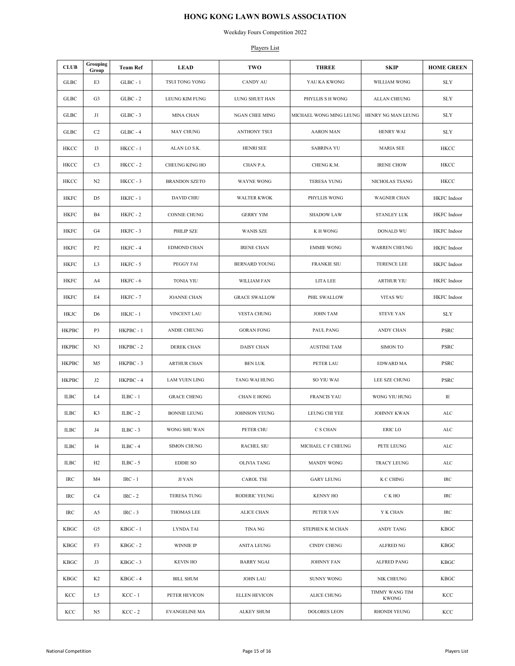Weekday Fours Competition 2022

#### Players List

| <b>CLUB</b>  | Grouping<br>Group | <b>Team Ref</b> | <b>LEAD</b>          | TWO                   | <b>THREE</b>            | <b>SKIP</b>             | <b>HOME GREEN</b> |
|--------------|-------------------|-----------------|----------------------|-----------------------|-------------------------|-------------------------|-------------------|
| GLBC         | E3                | $GLBC - 1$      | TSUI TONG YONG       | <b>CANDY AU</b>       | YAU KA KWONG            | WILLIAM WONG            | <b>SLY</b>        |
| GLBC         | G <sub>3</sub>    | $GLBC - 2$      | LEUNG KIM FUNG       | LUNG SHUET HAN        | PHYLLIS S H WONG        | <b>ALLAN CHEUNG</b>     | <b>SLY</b>        |
| GLBC         | J1                | $GLBC - 3$      | MINA CHAN            | <b>NGAN CHEE MING</b> | MICHAEL WONG MING LEUNG | HENRY NG MAN LEUNG      | <b>SLY</b>        |
| GLBC         | C2                | $GLBC - 4$      | MAY CHUNG            | ANTHONY TSUI          | <b>AARON MAN</b>        | <b>HENRY WAI</b>        | <b>SLY</b>        |
| HKCC         | 13                | HKCC-1          | ALAN LO S.K.         | HENRI SEE             | <b>SABRINA YU</b>       | <b>MARIA SEE</b>        | HKCC              |
| HKCC         | C <sub>3</sub>    | $HKCC - 2$      | CHEUNG KING HO       | CHAN P.A.             | CHENG K.M.              | <b>IRENE CHOW</b>       | HKCC              |
| HKCC         | N2                | HKCC-3          | <b>BRANDON SZETO</b> | WAYNE WONG            | <b>TERESA YUNG</b>      | NICHOLAS TSANG          | HKCC              |
| <b>HKFC</b>  | D <sub>5</sub>    | HKFC - 1        | DAVID CHIU           | <b>WALTER KWOK</b>    | PHYLLIS WONG            | <b>WAGNER CHAN</b>      | HKFC Indoor       |
| HKFC         | <b>B4</b>         | HKFC - 2        | CONNIE CHUNG         | <b>GERRY YIM</b>      | <b>SHADOW LAW</b>       | <b>STANLEY LUK</b>      | HKFC Indoor       |
| HKFC         | G4                | HKFC - 3        | PHILIP SZE           | <b>WANIS SZE</b>      | K H WONG                | DONALD WU               | HKFC Indoor       |
| HKFC         | P <sub>2</sub>    | HKFC-4          | EDMOND CHAN          | <b>IRENE CHAN</b>     | <b>EMMIE WONG</b>       | <b>WARREN CHEUNG</b>    | HKFC Indoor       |
| HKFC         | L <sub>3</sub>    | HKFC - 5        | PEGGY FAI            | <b>BERNARD YOUNG</b>  | <b>FRANKIE SIU</b>      | TERENCE LEE             | HKFC Indoor       |
| HKFC         | A4                | HKFC - 6        | <b>TONIA YIU</b>     | WILLIAM FAN           | LITA LEE                | <b>ARTHUR YIU</b>       | HKFC Indoor       |
| HKFC         | E4                | HKFC - 7        | <b>JOANNE CHAN</b>   | <b>GRACE SWALLOW</b>  | PHIL SWALLOW            | VITAS WU                | HKFC Indoor       |
| HKJC         | D <sub>6</sub>    | HKJC - 1        | VINCENT LAU          | VESTA CHUNG           | <b>JOHN TAM</b>         | <b>STEVE YAN</b>        | <b>SLY</b>        |
| <b>HKPBC</b> | P3                | HKPBC - 1       | ANDIE CHEUNG         | <b>GORAN FONG</b>     | PAUL PANG               | ANDY CHAN               | PSRC              |
| НКРВС        | N3                | HKPBC-2         | DEREK CHAN           | DAISY CHAN            | <b>AUSTINE TAM</b>      | <b>SIMON TO</b>         | PSRC              |
| <b>HKPBC</b> | M5                | HKPBC - 3       | <b>ARTHUR CHAN</b>   | <b>BEN LUK</b>        | PETER LAU               | EDWARD MA               | PSRC              |
| <b>HKPBC</b> | J <sub>2</sub>    | HKPBC-4         | <b>LAM YUEN LING</b> | TANG WAI HUNG         | SO YIU WAI              | LEE SZE CHUNG           | PSRC              |
| ILBC         | L4                | $ILBC - 1$      | <b>GRACE CHENG</b>   | CHAN E HONG           | <b>FRANCIS YAU</b>      | WONG YIU HUNG           | IE                |
| ILBC         | K3                | $ILBC - 2$      | <b>BONNIE LEUNG</b>  | <b>JOHNSON YEUNG</b>  | LEUNG CHI YEE           | <b>JOHNNY KWAN</b>      | ALC               |
| <b>ILBC</b>  | J4                | $ILBC - 3$      | WONG SHU WAN         | PETER CHU             | C S CHAN                | <b>ERIC LO</b>          | $\mathbf{ALC}$    |
| <b>ILBC</b>  | 14                | $ILBC - 4$      | <b>SIMON CHUNG</b>   | <b>RACHEL SIU</b>     | MICHAEL C F CHEUNG      | PETE LEUNG              | ALC               |
| ILBC         | H2                | ILBC - $5$      | <b>EDDIE SO</b>      | <b>OLIVIA TANG</b>    | MANDY WONG              | <b>TRACY LEUNG</b>      | $\mathbf{ALC}$    |
| IRC          | M4                | $IRC - 1$       | JI YAN               | CAROL TSE             | <b>GARY LEUNG</b>       | K C CHING               | IRC               |
| IRC          | C <sub>4</sub>    | $IRC - 2$       | <b>TERESA TUNG</b>   | RODERIC YEUNG         | <b>KENNY HO</b>         | C K HO                  | $\rm IRC$         |
| IRC          | A5                | $IRC - 3$       | <b>THOMAS LEE</b>    | <b>ALICE CHAN</b>     | PETER YAN               | Y K CHAN                | IRC               |
| KBGC         | G5                | $KBGC - 1$      | LYNDA TAI            | TINA NG               | STEPHEN K M CHAN        | ANDY TANG               | KBGC              |
| KBGC         | F3                | $KBGC - 2$      | WINNIE IP            | ANITA LEUNG           | <b>CINDY CHENG</b>      | <b>ALFRED NG</b>        | KBGC              |
| KBGC         | J3                | $KBGC - 3$      | <b>KEVIN HO</b>      | <b>BARRY NGAI</b>     | <b>JOHNNY FAN</b>       | ALFRED PANG             | KBGC              |
| KBGC         | K <sub>2</sub>    | $KBGC - 4$      | <b>BILL SHUM</b>     | <b>JOHN LAU</b>       | <b>SUNNY WONG</b>       | NIK CHEUNG              | <b>KBGC</b>       |
| KCC          | L5                | $KCC - 1$       | PETER HEVICON        | <b>ELLEN HEVICON</b>  | <b>ALICE CHUNG</b>      | TIMMY WANG TIM<br>KWONG | KCC               |
| KCC          | N5                | $KCC - 2$       | <b>EVANGELINE MA</b> | <b>ALKEY SHUM</b>     | <b>DOLORES LEON</b>     | <b>RHONDI YEUNG</b>     | KCC               |